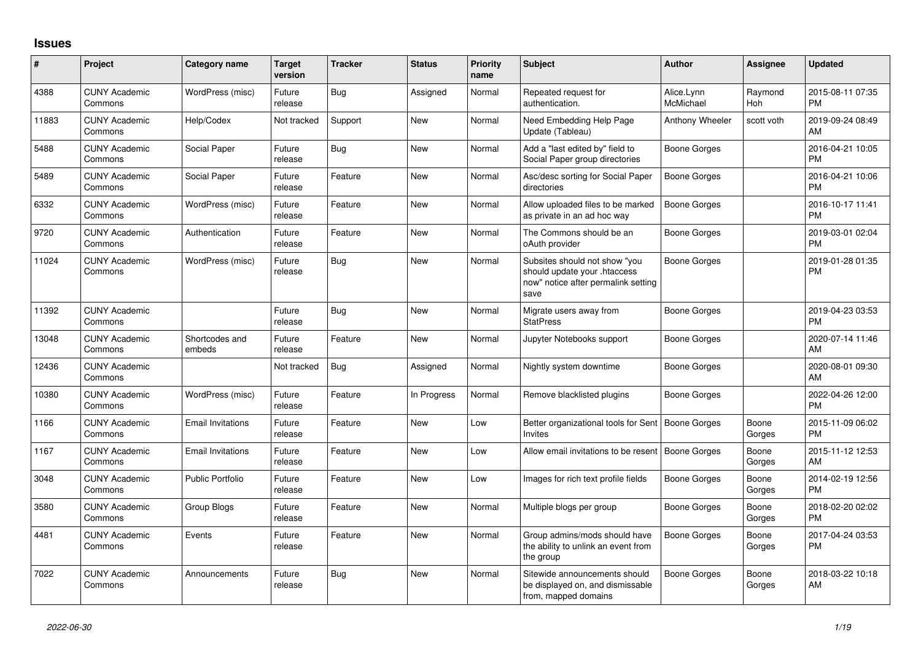## **Issues**

| #     | Project                         | <b>Category name</b>     | <b>Target</b><br>version | <b>Tracker</b> | <b>Status</b> | Priority<br>name | <b>Subject</b>                                                                                               | <b>Author</b>           | <b>Assignee</b>       | <b>Updated</b>                |
|-------|---------------------------------|--------------------------|--------------------------|----------------|---------------|------------------|--------------------------------------------------------------------------------------------------------------|-------------------------|-----------------------|-------------------------------|
| 4388  | <b>CUNY Academic</b><br>Commons | WordPress (misc)         | Future<br>release        | Bug            | Assigned      | Normal           | Repeated request for<br>authentication.                                                                      | Alice.Lynn<br>McMichael | Raymond<br><b>Hoh</b> | 2015-08-11 07:35<br><b>PM</b> |
| 11883 | <b>CUNY Academic</b><br>Commons | Help/Codex               | Not tracked              | Support        | New           | Normal           | Need Embedding Help Page<br>Update (Tableau)                                                                 | Anthony Wheeler         | scott voth            | 2019-09-24 08:49<br>AM        |
| 5488  | <b>CUNY Academic</b><br>Commons | Social Paper             | Future<br>release        | Bug            | <b>New</b>    | Normal           | Add a "last edited by" field to<br>Social Paper group directories                                            | Boone Gorges            |                       | 2016-04-21 10:05<br><b>PM</b> |
| 5489  | <b>CUNY Academic</b><br>Commons | Social Paper             | Future<br>release        | Feature        | <b>New</b>    | Normal           | Asc/desc sorting for Social Paper<br>directories                                                             | Boone Gorges            |                       | 2016-04-21 10:06<br><b>PM</b> |
| 6332  | <b>CUNY Academic</b><br>Commons | WordPress (misc)         | Future<br>release        | Feature        | New           | Normal           | Allow uploaded files to be marked<br>as private in an ad hoc way                                             | <b>Boone Gorges</b>     |                       | 2016-10-17 11:41<br><b>PM</b> |
| 9720  | <b>CUNY Academic</b><br>Commons | Authentication           | Future<br>release        | Feature        | <b>New</b>    | Normal           | The Commons should be an<br>oAuth provider                                                                   | Boone Gorges            |                       | 2019-03-01 02:04<br><b>PM</b> |
| 11024 | <b>CUNY Academic</b><br>Commons | WordPress (misc)         | Future<br>release        | Bug            | New           | Normal           | Subsites should not show "you<br>should update your .htaccess<br>now" notice after permalink setting<br>save | Boone Gorges            |                       | 2019-01-28 01:35<br><b>PM</b> |
| 11392 | <b>CUNY Academic</b><br>Commons |                          | Future<br>release        | Bug            | New           | Normal           | Migrate users away from<br><b>StatPress</b>                                                                  | <b>Boone Gorges</b>     |                       | 2019-04-23 03:53<br><b>PM</b> |
| 13048 | <b>CUNY Academic</b><br>Commons | Shortcodes and<br>embeds | Future<br>release        | Feature        | New           | Normal           | Jupyter Notebooks support                                                                                    | Boone Gorges            |                       | 2020-07-14 11:46<br>AM        |
| 12436 | <b>CUNY Academic</b><br>Commons |                          | Not tracked              | Bug            | Assigned      | Normal           | Nightly system downtime                                                                                      | Boone Gorges            |                       | 2020-08-01 09:30<br>AM        |
| 10380 | <b>CUNY Academic</b><br>Commons | WordPress (misc)         | Future<br>release        | Feature        | In Progress   | Normal           | Remove blacklisted plugins                                                                                   | Boone Gorges            |                       | 2022-04-26 12:00<br><b>PM</b> |
| 1166  | <b>CUNY Academic</b><br>Commons | <b>Email Invitations</b> | Future<br>release        | Feature        | <b>New</b>    | Low              | Better organizational tools for Sent<br>Invites                                                              | <b>Boone Gorges</b>     | Boone<br>Gorges       | 2015-11-09 06:02<br><b>PM</b> |
| 1167  | <b>CUNY Academic</b><br>Commons | <b>Email Invitations</b> | Future<br>release        | Feature        | <b>New</b>    | Low              | Allow email invitations to be resent                                                                         | <b>Boone Gorges</b>     | Boone<br>Gorges       | 2015-11-12 12:53<br>AM        |
| 3048  | <b>CUNY Academic</b><br>Commons | <b>Public Portfolio</b>  | Future<br>release        | Feature        | New           | Low              | Images for rich text profile fields                                                                          | Boone Gorges            | Boone<br>Gorges       | 2014-02-19 12:56<br><b>PM</b> |
| 3580  | <b>CUNY Academic</b><br>Commons | Group Blogs              | Future<br>release        | Feature        | New           | Normal           | Multiple blogs per group                                                                                     | Boone Gorges            | Boone<br>Gorges       | 2018-02-20 02:02<br><b>PM</b> |
| 4481  | <b>CUNY Academic</b><br>Commons | Events                   | Future<br>release        | Feature        | <b>New</b>    | Normal           | Group admins/mods should have<br>the ability to unlink an event from<br>the group                            | Boone Gorges            | Boone<br>Gorges       | 2017-04-24 03:53<br><b>PM</b> |
| 7022  | <b>CUNY Academic</b><br>Commons | Announcements            | Future<br>release        | Bug            | New           | Normal           | Sitewide announcements should<br>be displayed on, and dismissable<br>from, mapped domains                    | Boone Gorges            | Boone<br>Gorges       | 2018-03-22 10:18<br>AM        |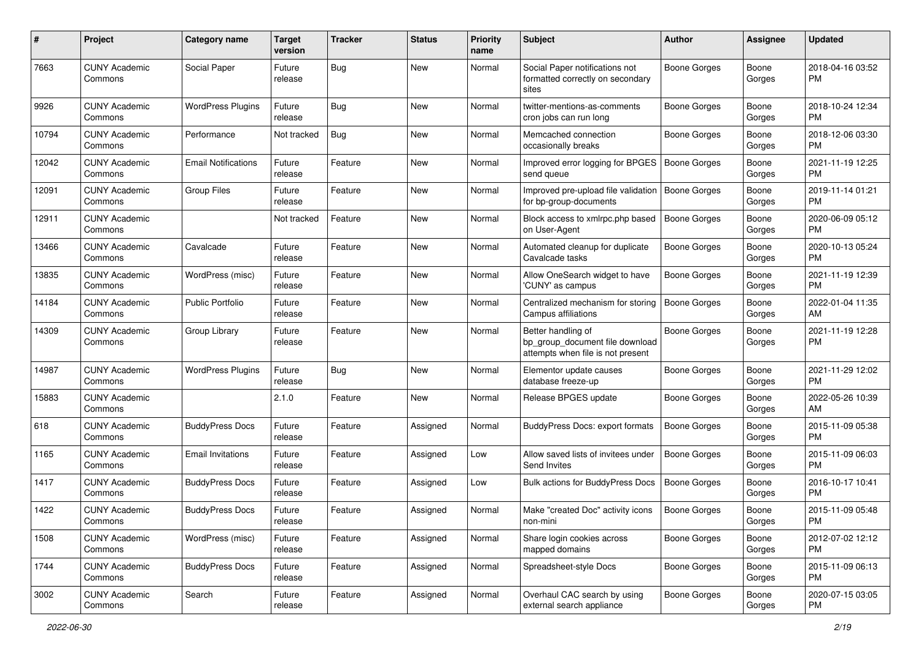| #     | Project                         | <b>Category name</b>       | <b>Target</b><br>version | Tracker | <b>Status</b> | <b>Priority</b><br>name | Subject                                                                                    | <b>Author</b>       | <b>Assignee</b> | <b>Updated</b>                |
|-------|---------------------------------|----------------------------|--------------------------|---------|---------------|-------------------------|--------------------------------------------------------------------------------------------|---------------------|-----------------|-------------------------------|
| 7663  | <b>CUNY Academic</b><br>Commons | Social Paper               | Future<br>release        | Bug     | New           | Normal                  | Social Paper notifications not<br>formatted correctly on secondary<br>sites                | <b>Boone Gorges</b> | Boone<br>Gorges | 2018-04-16 03:52<br>PM.       |
| 9926  | <b>CUNY Academic</b><br>Commons | <b>WordPress Plugins</b>   | Future<br>release        | Bug     | New           | Normal                  | twitter-mentions-as-comments<br>cron jobs can run long                                     | <b>Boone Gorges</b> | Boone<br>Gorges | 2018-10-24 12:34<br>PM.       |
| 10794 | <b>CUNY Academic</b><br>Commons | Performance                | Not tracked              | Bug     | New           | Normal                  | Memcached connection<br>occasionally breaks                                                | <b>Boone Gorges</b> | Boone<br>Gorges | 2018-12-06 03:30<br><b>PM</b> |
| 12042 | <b>CUNY Academic</b><br>Commons | <b>Email Notifications</b> | Future<br>release        | Feature | New           | Normal                  | Improved error logging for BPGES<br>send queue                                             | Boone Gorges        | Boone<br>Gorges | 2021-11-19 12:25<br><b>PM</b> |
| 12091 | <b>CUNY Academic</b><br>Commons | <b>Group Files</b>         | Future<br>release        | Feature | New           | Normal                  | Improved pre-upload file validation<br>for bp-group-documents                              | <b>Boone Gorges</b> | Boone<br>Gorges | 2019-11-14 01:21<br><b>PM</b> |
| 12911 | <b>CUNY Academic</b><br>Commons |                            | Not tracked              | Feature | New           | Normal                  | Block access to xmlrpc.php based<br>on User-Agent                                          | <b>Boone Gorges</b> | Boone<br>Gorges | 2020-06-09 05:12<br><b>PM</b> |
| 13466 | <b>CUNY Academic</b><br>Commons | Cavalcade                  | Future<br>release        | Feature | New           | Normal                  | Automated cleanup for duplicate<br>Cavalcade tasks                                         | Boone Gorges        | Boone<br>Gorges | 2020-10-13 05:24<br>PM.       |
| 13835 | <b>CUNY Academic</b><br>Commons | WordPress (misc)           | Future<br>release        | Feature | New           | Normal                  | Allow OneSearch widget to have<br>'CUNY' as campus                                         | <b>Boone Gorges</b> | Boone<br>Gorges | 2021-11-19 12:39<br><b>PM</b> |
| 14184 | <b>CUNY Academic</b><br>Commons | <b>Public Portfolio</b>    | Future<br>release        | Feature | New           | Normal                  | Centralized mechanism for storing<br>Campus affiliations                                   | <b>Boone Gorges</b> | Boone<br>Gorges | 2022-01-04 11:35<br>AM.       |
| 14309 | <b>CUNY Academic</b><br>Commons | Group Library              | Future<br>release        | Feature | New           | Normal                  | Better handling of<br>bp_group_document file download<br>attempts when file is not present | <b>Boone Gorges</b> | Boone<br>Gorges | 2021-11-19 12:28<br><b>PM</b> |
| 14987 | <b>CUNY Academic</b><br>Commons | <b>WordPress Plugins</b>   | Future<br>release        | Bug     | New           | Normal                  | Elementor update causes<br>database freeze-up                                              | Boone Gorges        | Boone<br>Gorges | 2021-11-29 12:02<br><b>PM</b> |
| 15883 | <b>CUNY Academic</b><br>Commons |                            | 2.1.0                    | Feature | New           | Normal                  | Release BPGES update                                                                       | Boone Gorges        | Boone<br>Gorges | 2022-05-26 10:39<br>AM        |
| 618   | <b>CUNY Academic</b><br>Commons | <b>BuddyPress Docs</b>     | Future<br>release        | Feature | Assigned      | Normal                  | BuddyPress Docs: export formats                                                            | <b>Boone Gorges</b> | Boone<br>Gorges | 2015-11-09 05:38<br>PM.       |
| 1165  | <b>CUNY Academic</b><br>Commons | <b>Email Invitations</b>   | Future<br>release        | Feature | Assigned      | Low                     | Allow saved lists of invitees under<br>Send Invites                                        | <b>Boone Gorges</b> | Boone<br>Gorges | 2015-11-09 06:03<br><b>PM</b> |
| 1417  | <b>CUNY Academic</b><br>Commons | <b>BuddyPress Docs</b>     | Future<br>release        | Feature | Assigned      | Low                     | Bulk actions for BuddyPress Docs                                                           | <b>Boone Gorges</b> | Boone<br>Gorges | 2016-10-17 10:41<br><b>PM</b> |
| 1422  | <b>CUNY Academic</b><br>Commons | <b>BuddyPress Docs</b>     | Future<br>release        | Feature | Assigned      | Normal                  | Make "created Doc" activity icons<br>non-mini                                              | <b>Boone Gorges</b> | Boone<br>Gorges | 2015-11-09 05:48<br>PM        |
| 1508  | <b>CUNY Academic</b><br>Commons | WordPress (misc)           | Future<br>release        | Feature | Assigned      | Normal                  | Share login cookies across<br>mapped domains                                               | Boone Gorges        | Boone<br>Gorges | 2012-07-02 12:12<br>PM.       |
| 1744  | <b>CUNY Academic</b><br>Commons | <b>BuddyPress Docs</b>     | Future<br>release        | Feature | Assigned      | Normal                  | Spreadsheet-style Docs                                                                     | Boone Gorges        | Boone<br>Gorges | 2015-11-09 06:13<br><b>PM</b> |
| 3002  | <b>CUNY Academic</b><br>Commons | Search                     | Future<br>release        | Feature | Assigned      | Normal                  | Overhaul CAC search by using<br>external search appliance                                  | Boone Gorges        | Boone<br>Gorges | 2020-07-15 03:05<br><b>PM</b> |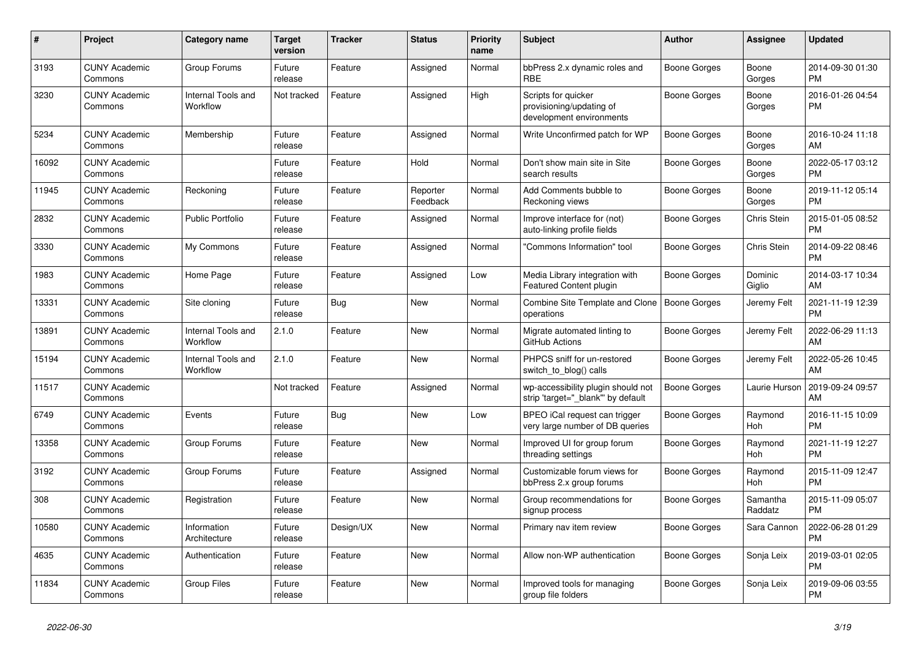| #     | Project                         | <b>Category name</b>           | <b>Target</b><br>version | <b>Tracker</b> | <b>Status</b>        | <b>Priority</b><br>name | <b>Subject</b>                                                              | <b>Author</b> | <b>Assignee</b>     | <b>Updated</b>                |
|-------|---------------------------------|--------------------------------|--------------------------|----------------|----------------------|-------------------------|-----------------------------------------------------------------------------|---------------|---------------------|-------------------------------|
| 3193  | <b>CUNY Academic</b><br>Commons | Group Forums                   | Future<br>release        | Feature        | Assigned             | Normal                  | bbPress 2.x dynamic roles and<br><b>RBE</b>                                 | Boone Gorges  | Boone<br>Gorges     | 2014-09-30 01:30<br><b>PM</b> |
| 3230  | <b>CUNY Academic</b><br>Commons | Internal Tools and<br>Workflow | Not tracked              | Feature        | Assigned             | High                    | Scripts for quicker<br>provisioning/updating of<br>development environments | Boone Gorges  | Boone<br>Gorges     | 2016-01-26 04:54<br><b>PM</b> |
| 5234  | <b>CUNY Academic</b><br>Commons | Membership                     | Future<br>release        | Feature        | Assigned             | Normal                  | Write Unconfirmed patch for WP                                              | Boone Gorges  | Boone<br>Gorges     | 2016-10-24 11:18<br>AM        |
| 16092 | <b>CUNY Academic</b><br>Commons |                                | Future<br>release        | Feature        | Hold                 | Normal                  | Don't show main site in Site<br>search results                              | Boone Gorges  | Boone<br>Gorges     | 2022-05-17 03:12<br><b>PM</b> |
| 11945 | <b>CUNY Academic</b><br>Commons | Reckoning                      | Future<br>release        | Feature        | Reporter<br>Feedback | Normal                  | Add Comments bubble to<br>Reckoning views                                   | Boone Gorges  | Boone<br>Gorges     | 2019-11-12 05:14<br><b>PM</b> |
| 2832  | <b>CUNY Academic</b><br>Commons | Public Portfolio               | Future<br>release        | Feature        | Assigned             | Normal                  | Improve interface for (not)<br>auto-linking profile fields                  | Boone Gorges  | Chris Stein         | 2015-01-05 08:52<br><b>PM</b> |
| 3330  | <b>CUNY Academic</b><br>Commons | My Commons                     | Future<br>release        | Feature        | Assigned             | Normal                  | "Commons Information" tool                                                  | Boone Gorges  | Chris Stein         | 2014-09-22 08:46<br><b>PM</b> |
| 1983  | <b>CUNY Academic</b><br>Commons | Home Page                      | Future<br>release        | Feature        | Assigned             | Low                     | Media Library integration with<br>Featured Content plugin                   | Boone Gorges  | Dominic<br>Giglio   | 2014-03-17 10:34<br>AM        |
| 13331 | <b>CUNY Academic</b><br>Commons | Site cloning                   | Future<br>release        | <b>Bug</b>     | New                  | Normal                  | Combine Site Template and Clone   Boone Gorges<br>operations                |               | Jeremy Felt         | 2021-11-19 12:39<br><b>PM</b> |
| 13891 | <b>CUNY Academic</b><br>Commons | Internal Tools and<br>Workflow | 2.1.0                    | Feature        | New                  | Normal                  | Migrate automated linting to<br>GitHub Actions                              | Boone Gorges  | Jeremy Felt         | 2022-06-29 11:13<br>AM        |
| 15194 | <b>CUNY Academic</b><br>Commons | Internal Tools and<br>Workflow | 2.1.0                    | Feature        | New                  | Normal                  | PHPCS sniff for un-restored<br>switch_to_blog() calls                       | Boone Gorges  | Jeremy Felt         | 2022-05-26 10:45<br>AM        |
| 11517 | <b>CUNY Academic</b><br>Commons |                                | Not tracked              | Feature        | Assigned             | Normal                  | wp-accessibility plugin should not<br>strip 'target="_blank"' by default    | Boone Gorges  | Laurie Hurson       | 2019-09-24 09:57<br>AM        |
| 6749  | <b>CUNY Academic</b><br>Commons | Events                         | Future<br>release        | Bug            | <b>New</b>           | Low                     | BPEO iCal request can trigger<br>very large number of DB queries            | Boone Gorges  | Raymond<br>Hoh      | 2016-11-15 10:09<br><b>PM</b> |
| 13358 | <b>CUNY Academic</b><br>Commons | Group Forums                   | Future<br>release        | Feature        | New                  | Normal                  | Improved UI for group forum<br>threading settings                           | Boone Gorges  | Raymond<br>Hoh      | 2021-11-19 12:27<br><b>PM</b> |
| 3192  | <b>CUNY Academic</b><br>Commons | Group Forums                   | Future<br>release        | Feature        | Assigned             | Normal                  | Customizable forum views for<br>bbPress 2.x group forums                    | Boone Gorges  | Raymond<br>Hoh      | 2015-11-09 12:47<br><b>PM</b> |
| 308   | <b>CUNY Academic</b><br>Commons | Registration                   | Future<br>release        | Feature        | <b>New</b>           | Normal                  | Group recommendations for<br>signup process                                 | Boone Gorges  | Samantha<br>Raddatz | 2015-11-09 05:07<br><b>PM</b> |
| 10580 | <b>CUNY Academic</b><br>Commons | Information<br>Architecture    | Future<br>release        | Design/UX      | New                  | Normal                  | Primary nav item review                                                     | Boone Gorges  | Sara Cannon         | 2022-06-28 01:29<br><b>PM</b> |
| 4635  | <b>CUNY Academic</b><br>Commons | Authentication                 | Future<br>release        | Feature        | <b>New</b>           | Normal                  | Allow non-WP authentication                                                 | Boone Gorges  | Sonja Leix          | 2019-03-01 02:05<br><b>PM</b> |
| 11834 | <b>CUNY Academic</b><br>Commons | Group Files                    | Future<br>release        | Feature        | <b>New</b>           | Normal                  | Improved tools for managing<br>group file folders                           | Boone Gorges  | Sonja Leix          | 2019-09-06 03:55<br><b>PM</b> |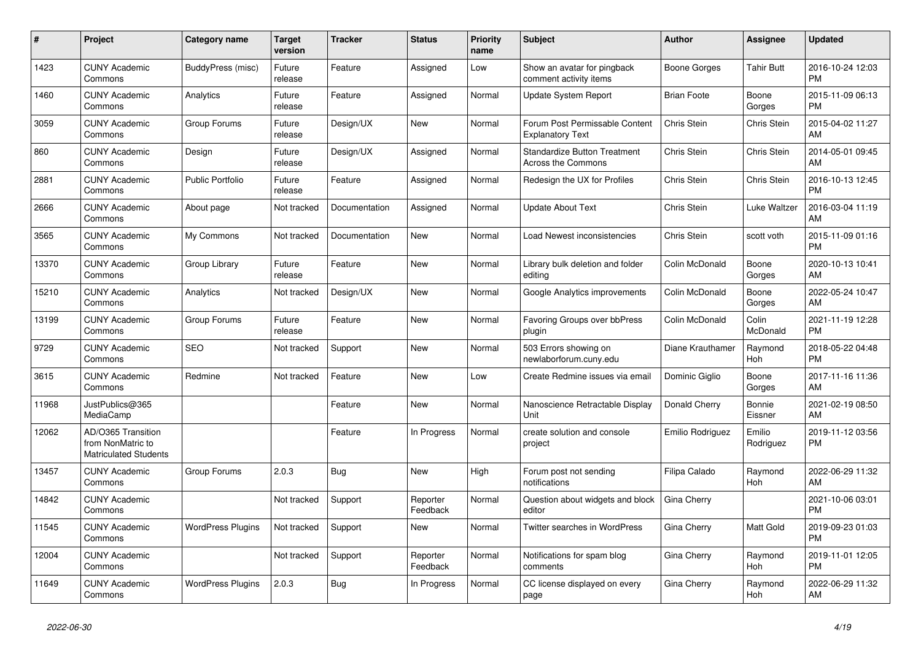| #     | Project                                                          | <b>Category name</b>     | <b>Target</b><br>version | <b>Tracker</b> | <b>Status</b>        | <b>Priority</b><br>name | <b>Subject</b>                                                   | <b>Author</b>      | Assignee            | <b>Updated</b>                |
|-------|------------------------------------------------------------------|--------------------------|--------------------------|----------------|----------------------|-------------------------|------------------------------------------------------------------|--------------------|---------------------|-------------------------------|
| 1423  | <b>CUNY Academic</b><br>Commons                                  | <b>BuddyPress (misc)</b> | Future<br>release        | Feature        | Assigned             | Low                     | Show an avatar for pingback<br>comment activity items            | Boone Gorges       | <b>Tahir Butt</b>   | 2016-10-24 12:03<br><b>PM</b> |
| 1460  | <b>CUNY Academic</b><br>Commons                                  | Analytics                | Future<br>release        | Feature        | Assigned             | Normal                  | <b>Update System Report</b>                                      | <b>Brian Foote</b> | Boone<br>Gorges     | 2015-11-09 06:13<br><b>PM</b> |
| 3059  | <b>CUNY Academic</b><br>Commons                                  | Group Forums             | Future<br>release        | Design/UX      | New                  | Normal                  | Forum Post Permissable Content<br><b>Explanatory Text</b>        | Chris Stein        | Chris Stein         | 2015-04-02 11:27<br>AM        |
| 860   | <b>CUNY Academic</b><br>Commons                                  | Design                   | Future<br>release        | Design/UX      | Assigned             | Normal                  | <b>Standardize Button Treatment</b><br><b>Across the Commons</b> | Chris Stein        | Chris Stein         | 2014-05-01 09:45<br>AM        |
| 2881  | <b>CUNY Academic</b><br>Commons                                  | <b>Public Portfolio</b>  | Future<br>release        | Feature        | Assigned             | Normal                  | Redesign the UX for Profiles                                     | Chris Stein        | Chris Stein         | 2016-10-13 12:45<br><b>PM</b> |
| 2666  | <b>CUNY Academic</b><br>Commons                                  | About page               | Not tracked              | Documentation  | Assigned             | Normal                  | <b>Update About Text</b>                                         | Chris Stein        | Luke Waltzer        | 2016-03-04 11:19<br>AM        |
| 3565  | <b>CUNY Academic</b><br>Commons                                  | My Commons               | Not tracked              | Documentation  | <b>New</b>           | Normal                  | Load Newest inconsistencies                                      | Chris Stein        | scott voth          | 2015-11-09 01:16<br><b>PM</b> |
| 13370 | <b>CUNY Academic</b><br>Commons                                  | Group Library            | Future<br>release        | Feature        | <b>New</b>           | Normal                  | Library bulk deletion and folder<br>editing                      | Colin McDonald     | Boone<br>Gorges     | 2020-10-13 10:41<br>AM        |
| 15210 | <b>CUNY Academic</b><br>Commons                                  | Analytics                | Not tracked              | Design/UX      | <b>New</b>           | Normal                  | Google Analytics improvements                                    | Colin McDonald     | Boone<br>Gorges     | 2022-05-24 10:47<br>AM        |
| 13199 | <b>CUNY Academic</b><br>Commons                                  | Group Forums             | Future<br>release        | Feature        | New                  | Normal                  | Favoring Groups over bbPress<br>plugin                           | Colin McDonald     | Colin<br>McDonald   | 2021-11-19 12:28<br><b>PM</b> |
| 9729  | <b>CUNY Academic</b><br>Commons                                  | <b>SEO</b>               | Not tracked              | Support        | <b>New</b>           | Normal                  | 503 Errors showing on<br>newlaborforum.cuny.edu                  | Diane Krauthamer   | Raymond<br>Hoh      | 2018-05-22 04:48<br><b>PM</b> |
| 3615  | <b>CUNY Academic</b><br>Commons                                  | Redmine                  | Not tracked              | Feature        | <b>New</b>           | Low                     | Create Redmine issues via email                                  | Dominic Giglio     | Boone<br>Gorges     | 2017-11-16 11:36<br>AM        |
| 11968 | JustPublics@365<br>MediaCamp                                     |                          |                          | Feature        | New                  | Normal                  | Nanoscience Retractable Display<br>Unit                          | Donald Cherry      | Bonnie<br>Eissner   | 2021-02-19 08:50<br>AM        |
| 12062 | AD/O365 Transition<br>from NonMatric to<br>Matriculated Students |                          |                          | Feature        | In Progress          | Normal                  | create solution and console<br>project                           | Emilio Rodriguez   | Emilio<br>Rodriguez | 2019-11-12 03:56<br><b>PM</b> |
| 13457 | <b>CUNY Academic</b><br>Commons                                  | Group Forums             | 2.0.3                    | <b>Bug</b>     | <b>New</b>           | High                    | Forum post not sending<br>notifications                          | Filipa Calado      | Raymond<br>Hoh      | 2022-06-29 11:32<br>AM        |
| 14842 | <b>CUNY Academic</b><br>Commons                                  |                          | Not tracked              | Support        | Reporter<br>Feedback | Normal                  | Question about widgets and block<br>editor                       | Gina Cherry        |                     | 2021-10-06 03:01<br><b>PM</b> |
| 11545 | <b>CUNY Academic</b><br>Commons                                  | <b>WordPress Plugins</b> | Not tracked              | Support        | <b>New</b>           | Normal                  | Twitter searches in WordPress                                    | Gina Cherry        | Matt Gold           | 2019-09-23 01:03<br><b>PM</b> |
| 12004 | <b>CUNY Academic</b><br>Commons                                  |                          | Not tracked              | Support        | Reporter<br>Feedback | Normal                  | Notifications for spam blog<br>comments                          | Gina Cherry        | Raymond<br>Hoh      | 2019-11-01 12:05<br><b>PM</b> |
| 11649 | <b>CUNY Academic</b><br>Commons                                  | <b>WordPress Plugins</b> | 2.0.3                    | <b>Bug</b>     | In Progress          | Normal                  | CC license displayed on every<br>page                            | Gina Cherry        | Raymond<br>Hoh      | 2022-06-29 11:32<br>AM        |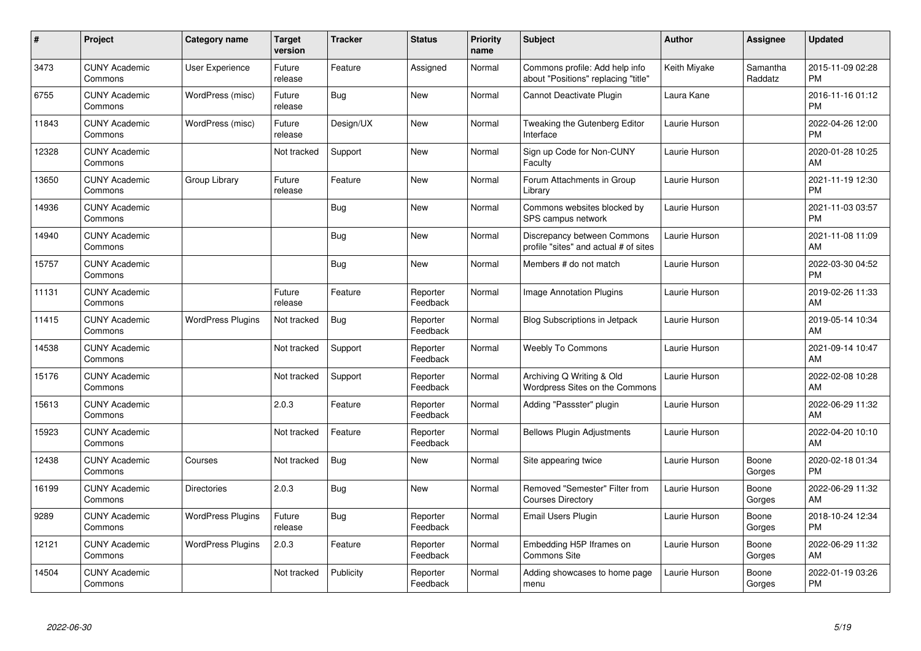| #     | Project                         | <b>Category name</b>     | <b>Target</b><br>version | <b>Tracker</b> | <b>Status</b>        | <b>Priority</b><br>name | <b>Subject</b>                                                        | <b>Author</b> | <b>Assignee</b>     | <b>Updated</b>                |
|-------|---------------------------------|--------------------------|--------------------------|----------------|----------------------|-------------------------|-----------------------------------------------------------------------|---------------|---------------------|-------------------------------|
| 3473  | <b>CUNY Academic</b><br>Commons | <b>User Experience</b>   | Future<br>release        | Feature        | Assigned             | Normal                  | Commons profile: Add help info<br>about "Positions" replacing "title" | Keith Miyake  | Samantha<br>Raddatz | 2015-11-09 02:28<br><b>PM</b> |
| 6755  | <b>CUNY Academic</b><br>Commons | WordPress (misc)         | Future<br>release        | Bug            | <b>New</b>           | Normal                  | Cannot Deactivate Plugin                                              | Laura Kane    |                     | 2016-11-16 01:12<br><b>PM</b> |
| 11843 | <b>CUNY Academic</b><br>Commons | WordPress (misc)         | Future<br>release        | Design/UX      | <b>New</b>           | Normal                  | Tweaking the Gutenberg Editor<br>Interface                            | Laurie Hurson |                     | 2022-04-26 12:00<br><b>PM</b> |
| 12328 | <b>CUNY Academic</b><br>Commons |                          | Not tracked              | Support        | <b>New</b>           | Normal                  | Sign up Code for Non-CUNY<br>Faculty                                  | Laurie Hurson |                     | 2020-01-28 10:25<br>AM        |
| 13650 | <b>CUNY Academic</b><br>Commons | Group Library            | Future<br>release        | Feature        | <b>New</b>           | Normal                  | Forum Attachments in Group<br>Library                                 | Laurie Hurson |                     | 2021-11-19 12:30<br><b>PM</b> |
| 14936 | <b>CUNY Academic</b><br>Commons |                          |                          | Bug            | <b>New</b>           | Normal                  | Commons websites blocked by<br>SPS campus network                     | Laurie Hurson |                     | 2021-11-03 03:57<br><b>PM</b> |
| 14940 | <b>CUNY Academic</b><br>Commons |                          |                          | <b>Bug</b>     | New                  | Normal                  | Discrepancy between Commons<br>profile "sites" and actual # of sites  | Laurie Hurson |                     | 2021-11-08 11:09<br>AM        |
| 15757 | <b>CUNY Academic</b><br>Commons |                          |                          | <b>Bug</b>     | <b>New</b>           | Normal                  | Members # do not match                                                | Laurie Hurson |                     | 2022-03-30 04:52<br><b>PM</b> |
| 11131 | <b>CUNY Academic</b><br>Commons |                          | Future<br>release        | Feature        | Reporter<br>Feedback | Normal                  | Image Annotation Plugins                                              | Laurie Hurson |                     | 2019-02-26 11:33<br>AM        |
| 11415 | <b>CUNY Academic</b><br>Commons | <b>WordPress Plugins</b> | Not tracked              | Bug            | Reporter<br>Feedback | Normal                  | <b>Blog Subscriptions in Jetpack</b>                                  | Laurie Hurson |                     | 2019-05-14 10:34<br>AM        |
| 14538 | <b>CUNY Academic</b><br>Commons |                          | Not tracked              | Support        | Reporter<br>Feedback | Normal                  | <b>Weebly To Commons</b>                                              | Laurie Hurson |                     | 2021-09-14 10:47<br>AM        |
| 15176 | <b>CUNY Academic</b><br>Commons |                          | Not tracked              | Support        | Reporter<br>Feedback | Normal                  | Archiving Q Writing & Old<br>Wordpress Sites on the Commons           | Laurie Hurson |                     | 2022-02-08 10:28<br>AM        |
| 15613 | <b>CUNY Academic</b><br>Commons |                          | 2.0.3                    | Feature        | Reporter<br>Feedback | Normal                  | Adding "Passster" plugin                                              | Laurie Hurson |                     | 2022-06-29 11:32<br><b>AM</b> |
| 15923 | <b>CUNY Academic</b><br>Commons |                          | Not tracked              | Feature        | Reporter<br>Feedback | Normal                  | <b>Bellows Plugin Adjustments</b>                                     | Laurie Hurson |                     | 2022-04-20 10:10<br><b>AM</b> |
| 12438 | <b>CUNY Academic</b><br>Commons | Courses                  | Not tracked              | Bug            | New                  | Normal                  | Site appearing twice                                                  | Laurie Hurson | Boone<br>Gorges     | 2020-02-18 01:34<br><b>PM</b> |
| 16199 | <b>CUNY Academic</b><br>Commons | <b>Directories</b>       | 2.0.3                    | Bug            | New                  | Normal                  | Removed "Semester" Filter from<br><b>Courses Directory</b>            | Laurie Hurson | Boone<br>Gorges     | 2022-06-29 11:32<br><b>AM</b> |
| 9289  | <b>CUNY Academic</b><br>Commons | <b>WordPress Plugins</b> | Future<br>release        | <b>Bug</b>     | Reporter<br>Feedback | Normal                  | Email Users Plugin                                                    | Laurie Hurson | Boone<br>Gorges     | 2018-10-24 12:34<br><b>PM</b> |
| 12121 | <b>CUNY Academic</b><br>Commons | <b>WordPress Plugins</b> | 2.0.3                    | Feature        | Reporter<br>Feedback | Normal                  | Embedding H5P Iframes on<br><b>Commons Site</b>                       | Laurie Hurson | Boone<br>Gorges     | 2022-06-29 11:32<br>AM        |
| 14504 | <b>CUNY Academic</b><br>Commons |                          | Not tracked              | Publicity      | Reporter<br>Feedback | Normal                  | Adding showcases to home page<br>menu                                 | Laurie Hurson | Boone<br>Gorges     | 2022-01-19 03:26<br>PM        |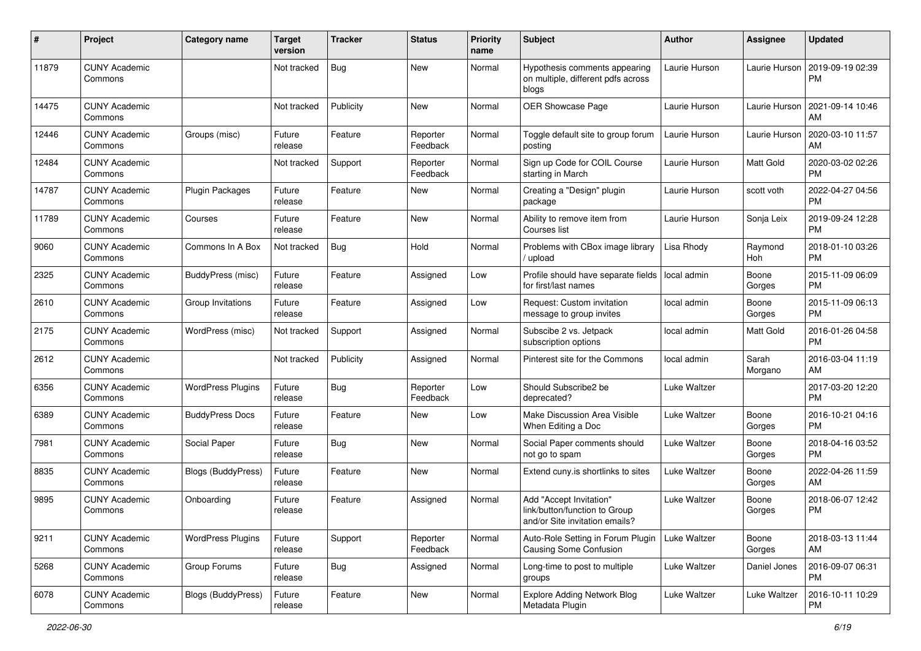| #     | Project                         | <b>Category name</b>      | <b>Target</b><br>version | <b>Tracker</b> | <b>Status</b>        | Priority<br>name | <b>Subject</b>                                                                             | <b>Author</b> | <b>Assignee</b>  | <b>Updated</b>                |
|-------|---------------------------------|---------------------------|--------------------------|----------------|----------------------|------------------|--------------------------------------------------------------------------------------------|---------------|------------------|-------------------------------|
| 11879 | <b>CUNY Academic</b><br>Commons |                           | Not tracked              | Bug            | New                  | Normal           | Hypothesis comments appearing<br>on multiple, different pdfs across<br>blogs               | Laurie Hurson | Laurie Hurson    | 2019-09-19 02:39<br>PM.       |
| 14475 | <b>CUNY Academic</b><br>Commons |                           | Not tracked              | Publicity      | <b>New</b>           | Normal           | <b>OER Showcase Page</b>                                                                   | Laurie Hurson | Laurie Hurson    | 2021-09-14 10:46<br>AM.       |
| 12446 | <b>CUNY Academic</b><br>Commons | Groups (misc)             | Future<br>release        | Feature        | Reporter<br>Feedback | Normal           | Toggle default site to group forum<br>posting                                              | Laurie Hurson | Laurie Hurson    | 2020-03-10 11:57<br>AM        |
| 12484 | <b>CUNY Academic</b><br>Commons |                           | Not tracked              | Support        | Reporter<br>Feedback | Normal           | Sign up Code for COIL Course<br>starting in March                                          | Laurie Hurson | Matt Gold        | 2020-03-02 02:26<br>PM.       |
| 14787 | <b>CUNY Academic</b><br>Commons | Plugin Packages           | Future<br>release        | Feature        | New                  | Normal           | Creating a "Design" plugin<br>package                                                      | Laurie Hurson | scott voth       | 2022-04-27 04:56<br><b>PM</b> |
| 11789 | <b>CUNY Academic</b><br>Commons | Courses                   | Future<br>release        | Feature        | New                  | Normal           | Ability to remove item from<br>Courses list                                                | Laurie Hurson | Sonja Leix       | 2019-09-24 12:28<br><b>PM</b> |
| 9060  | <b>CUNY Academic</b><br>Commons | Commons In A Box          | Not tracked              | Bug            | Hold                 | Normal           | Problems with CBox image library<br>/ upload                                               | Lisa Rhody    | Raymond<br>Hoh   | 2018-01-10 03:26<br><b>PM</b> |
| 2325  | <b>CUNY Academic</b><br>Commons | BuddyPress (misc)         | Future<br>release        | Feature        | Assigned             | Low              | Profile should have separate fields<br>for first/last names                                | local admin   | Boone<br>Gorges  | 2015-11-09 06:09<br><b>PM</b> |
| 2610  | <b>CUNY Academic</b><br>Commons | Group Invitations         | Future<br>release        | Feature        | Assigned             | Low              | Request: Custom invitation<br>message to group invites                                     | local admin   | Boone<br>Gorges  | 2015-11-09 06:13<br>PM.       |
| 2175  | <b>CUNY Academic</b><br>Commons | WordPress (misc)          | Not tracked              | Support        | Assigned             | Normal           | Subscibe 2 vs. Jetpack<br>subscription options                                             | local admin   | Matt Gold        | 2016-01-26 04:58<br><b>PM</b> |
| 2612  | <b>CUNY Academic</b><br>Commons |                           | Not tracked              | Publicity      | Assigned             | Normal           | Pinterest site for the Commons                                                             | local admin   | Sarah<br>Morgano | 2016-03-04 11:19<br>AM        |
| 6356  | <b>CUNY Academic</b><br>Commons | <b>WordPress Plugins</b>  | Future<br>release        | Bug            | Reporter<br>Feedback | Low              | Should Subscribe2 be<br>deprecated?                                                        | Luke Waltzer  |                  | 2017-03-20 12:20<br><b>PM</b> |
| 6389  | <b>CUNY Academic</b><br>Commons | <b>BuddyPress Docs</b>    | Future<br>release        | Feature        | New                  | Low              | Make Discussion Area Visible<br>When Editing a Doc                                         | Luke Waltzer  | Boone<br>Gorges  | 2016-10-21 04:16<br><b>PM</b> |
| 7981  | <b>CUNY Academic</b><br>Commons | Social Paper              | Future<br>release        | Bug            | New                  | Normal           | Social Paper comments should<br>not go to spam                                             | Luke Waltzer  | Boone<br>Gorges  | 2018-04-16 03:52<br><b>PM</b> |
| 8835  | <b>CUNY Academic</b><br>Commons | <b>Blogs (BuddyPress)</b> | Future<br>release        | Feature        | New                  | Normal           | Extend cuny.is shortlinks to sites                                                         | Luke Waltzer  | Boone<br>Gorges  | 2022-04-26 11:59<br>AM.       |
| 9895  | <b>CUNY Academic</b><br>Commons | Onboarding                | Future<br>release        | Feature        | Assigned             | Normal           | Add "Accept Invitation"<br>link/button/function to Group<br>and/or Site invitation emails? | Luke Waltzer  | Boone<br>Gorges  | 2018-06-07 12:42<br><b>PM</b> |
| 9211  | <b>CUNY Academic</b><br>Commons | <b>WordPress Plugins</b>  | Future<br>release        | Support        | Reporter<br>Feedback | Normal           | Auto-Role Setting in Forum Plugin<br><b>Causing Some Confusion</b>                         | Luke Waltzer  | Boone<br>Gorges  | 2018-03-13 11:44<br>AM        |
| 5268  | <b>CUNY Academic</b><br>Commons | Group Forums              | Future<br>release        | <b>Bug</b>     | Assigned             | Normal           | Long-time to post to multiple<br>groups                                                    | Luke Waltzer  | Daniel Jones     | 2016-09-07 06:31<br><b>PM</b> |
| 6078  | <b>CUNY Academic</b><br>Commons | Blogs (BuddyPress)        | Future<br>release        | Feature        | New                  | Normal           | <b>Explore Adding Network Blog</b><br>Metadata Plugin                                      | Luke Waltzer  | Luke Waltzer     | 2016-10-11 10:29<br><b>PM</b> |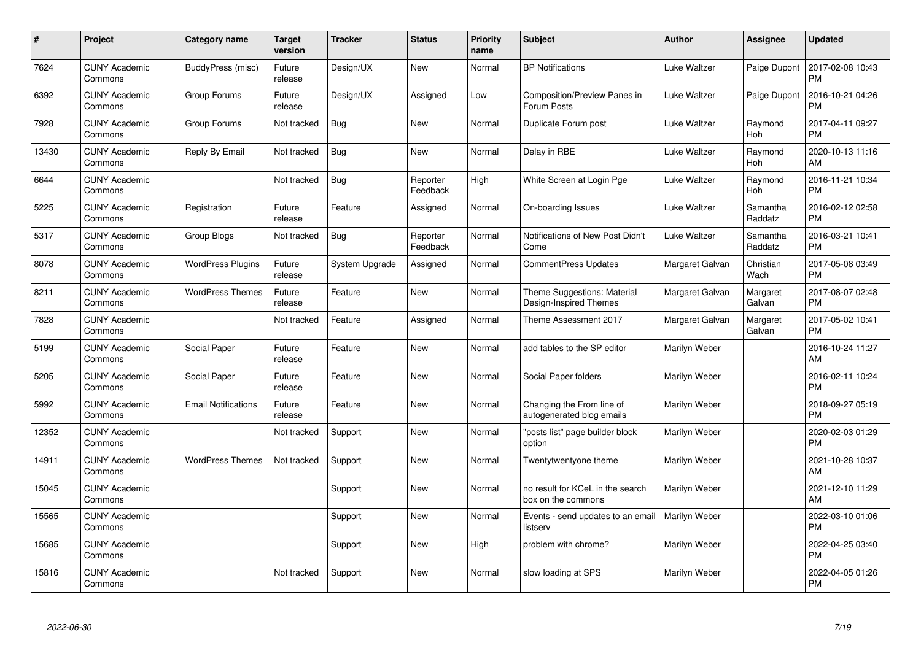| #     | Project                         | <b>Category name</b>       | Target<br>version | <b>Tracker</b> | <b>Status</b>        | <b>Priority</b><br>name | <b>Subject</b>                                         | <b>Author</b>   | Assignee            | <b>Updated</b>                |
|-------|---------------------------------|----------------------------|-------------------|----------------|----------------------|-------------------------|--------------------------------------------------------|-----------------|---------------------|-------------------------------|
| 7624  | <b>CUNY Academic</b><br>Commons | BuddyPress (misc)          | Future<br>release | Design/UX      | <b>New</b>           | Normal                  | <b>BP</b> Notifications                                | Luke Waltzer    | Paige Dupont        | 2017-02-08 10:43<br><b>PM</b> |
| 6392  | <b>CUNY Academic</b><br>Commons | Group Forums               | Future<br>release | Design/UX      | Assigned             | Low                     | Composition/Preview Panes in<br>Forum Posts            | Luke Waltzer    | Paige Dupont        | 2016-10-21 04:26<br><b>PM</b> |
| 7928  | <b>CUNY Academic</b><br>Commons | Group Forums               | Not tracked       | Bug            | <b>New</b>           | Normal                  | Duplicate Forum post                                   | Luke Waltzer    | Raymond<br>Hoh      | 2017-04-11 09:27<br><b>PM</b> |
| 13430 | <b>CUNY Academic</b><br>Commons | Reply By Email             | Not tracked       | Bug            | <b>New</b>           | Normal                  | Delay in RBE                                           | Luke Waltzer    | Raymond<br>Hoh      | 2020-10-13 11:16<br>AM        |
| 6644  | <b>CUNY Academic</b><br>Commons |                            | Not tracked       | Bug            | Reporter<br>Feedback | High                    | White Screen at Login Pge                              | Luke Waltzer    | Raymond<br>Hoh      | 2016-11-21 10:34<br><b>PM</b> |
| 5225  | <b>CUNY Academic</b><br>Commons | Registration               | Future<br>release | Feature        | Assigned             | Normal                  | On-boarding Issues                                     | Luke Waltzer    | Samantha<br>Raddatz | 2016-02-12 02:58<br><b>PM</b> |
| 5317  | <b>CUNY Academic</b><br>Commons | <b>Group Blogs</b>         | Not tracked       | Bug            | Reporter<br>Feedback | Normal                  | Notifications of New Post Didn't<br>Come               | Luke Waltzer    | Samantha<br>Raddatz | 2016-03-21 10:41<br><b>PM</b> |
| 8078  | <b>CUNY Academic</b><br>Commons | <b>WordPress Plugins</b>   | Future<br>release | System Upgrade | Assigned             | Normal                  | <b>CommentPress Updates</b>                            | Margaret Galvan | Christian<br>Wach   | 2017-05-08 03:49<br><b>PM</b> |
| 8211  | <b>CUNY Academic</b><br>Commons | <b>WordPress Themes</b>    | Future<br>release | Feature        | New                  | Normal                  | Theme Suggestions: Material<br>Design-Inspired Themes  | Margaret Galvan | Margaret<br>Galvan  | 2017-08-07 02:48<br><b>PM</b> |
| 7828  | <b>CUNY Academic</b><br>Commons |                            | Not tracked       | Feature        | Assigned             | Normal                  | Theme Assessment 2017                                  | Margaret Galvan | Margaret<br>Galvan  | 2017-05-02 10:41<br>PM        |
| 5199  | <b>CUNY Academic</b><br>Commons | Social Paper               | Future<br>release | Feature        | New                  | Normal                  | add tables to the SP editor                            | Marilyn Weber   |                     | 2016-10-24 11:27<br>AM        |
| 5205  | <b>CUNY Academic</b><br>Commons | Social Paper               | Future<br>release | Feature        | New                  | Normal                  | Social Paper folders                                   | Marilyn Weber   |                     | 2016-02-11 10:24<br><b>PM</b> |
| 5992  | <b>CUNY Academic</b><br>Commons | <b>Email Notifications</b> | Future<br>release | Feature        | New                  | Normal                  | Changing the From line of<br>autogenerated blog emails | Marilyn Weber   |                     | 2018-09-27 05:19<br><b>PM</b> |
| 12352 | <b>CUNY Academic</b><br>Commons |                            | Not tracked       | Support        | New                  | Normal                  | "posts list" page builder block<br>option              | Marilyn Weber   |                     | 2020-02-03 01:29<br><b>PM</b> |
| 14911 | <b>CUNY Academic</b><br>Commons | <b>WordPress Themes</b>    | Not tracked       | Support        | New                  | Normal                  | Twentytwentyone theme                                  | Marilyn Weber   |                     | 2021-10-28 10:37<br><b>AM</b> |
| 15045 | <b>CUNY Academic</b><br>Commons |                            |                   | Support        | <b>New</b>           | Normal                  | no result for KCeL in the search<br>box on the commons | Marilyn Weber   |                     | 2021-12-10 11:29<br>AM        |
| 15565 | <b>CUNY Academic</b><br>Commons |                            |                   | Support        | New                  | Normal                  | Events - send updates to an email<br>listserv          | Marilyn Weber   |                     | 2022-03-10 01:06<br><b>PM</b> |
| 15685 | <b>CUNY Academic</b><br>Commons |                            |                   | Support        | New                  | High                    | problem with chrome?                                   | Marilyn Weber   |                     | 2022-04-25 03:40<br><b>PM</b> |
| 15816 | <b>CUNY Academic</b><br>Commons |                            | Not tracked       | Support        | <b>New</b>           | Normal                  | slow loading at SPS                                    | Marilyn Weber   |                     | 2022-04-05 01:26<br>PM        |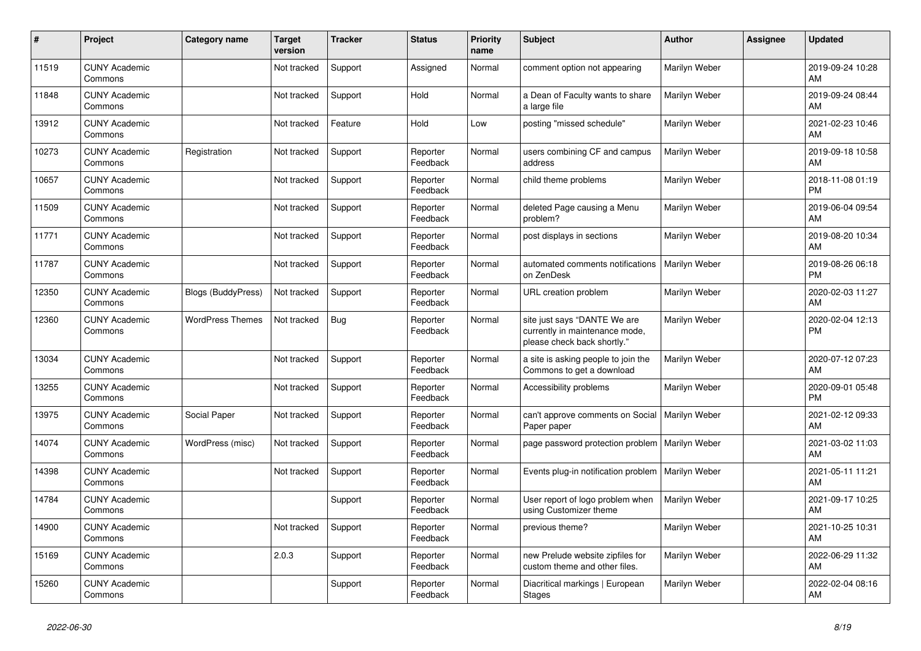| #     | <b>Project</b>                  | <b>Category name</b>    | <b>Target</b><br>version | <b>Tracker</b> | <b>Status</b>        | <b>Priority</b><br>name | <b>Subject</b>                                                                                | <b>Author</b> | Assignee | <b>Updated</b>                |
|-------|---------------------------------|-------------------------|--------------------------|----------------|----------------------|-------------------------|-----------------------------------------------------------------------------------------------|---------------|----------|-------------------------------|
| 11519 | <b>CUNY Academic</b><br>Commons |                         | Not tracked              | Support        | Assigned             | Normal                  | comment option not appearing                                                                  | Marilyn Weber |          | 2019-09-24 10:28<br>AM        |
| 11848 | <b>CUNY Academic</b><br>Commons |                         | Not tracked              | Support        | Hold                 | Normal                  | a Dean of Faculty wants to share<br>a large file                                              | Marilyn Weber |          | 2019-09-24 08:44<br>AM        |
| 13912 | <b>CUNY Academic</b><br>Commons |                         | Not tracked              | Feature        | Hold                 | Low                     | posting "missed schedule"                                                                     | Marilyn Weber |          | 2021-02-23 10:46<br>AM        |
| 10273 | <b>CUNY Academic</b><br>Commons | Registration            | Not tracked              | Support        | Reporter<br>Feedback | Normal                  | users combining CF and campus<br>address                                                      | Marilyn Weber |          | 2019-09-18 10:58<br>AM        |
| 10657 | <b>CUNY Academic</b><br>Commons |                         | Not tracked              | Support        | Reporter<br>Feedback | Normal                  | child theme problems                                                                          | Marilyn Weber |          | 2018-11-08 01:19<br><b>PM</b> |
| 11509 | <b>CUNY Academic</b><br>Commons |                         | Not tracked              | Support        | Reporter<br>Feedback | Normal                  | deleted Page causing a Menu<br>problem?                                                       | Marilyn Weber |          | 2019-06-04 09:54<br>AM        |
| 11771 | <b>CUNY Academic</b><br>Commons |                         | Not tracked              | Support        | Reporter<br>Feedback | Normal                  | post displays in sections                                                                     | Marilyn Weber |          | 2019-08-20 10:34<br>AM        |
| 11787 | <b>CUNY Academic</b><br>Commons |                         | Not tracked              | Support        | Reporter<br>Feedback | Normal                  | automated comments notifications<br>on ZenDesk                                                | Marilyn Weber |          | 2019-08-26 06:18<br><b>PM</b> |
| 12350 | <b>CUNY Academic</b><br>Commons | Blogs (BuddyPress)      | Not tracked              | Support        | Reporter<br>Feedback | Normal                  | URL creation problem                                                                          | Marilyn Weber |          | 2020-02-03 11:27<br>AM        |
| 12360 | <b>CUNY Academic</b><br>Commons | <b>WordPress Themes</b> | Not tracked              | Bug            | Reporter<br>Feedback | Normal                  | site just says "DANTE We are<br>currently in maintenance mode,<br>please check back shortly." | Marilyn Weber |          | 2020-02-04 12:13<br><b>PM</b> |
| 13034 | <b>CUNY Academic</b><br>Commons |                         | Not tracked              | Support        | Reporter<br>Feedback | Normal                  | a site is asking people to join the<br>Commons to get a download                              | Marilyn Weber |          | 2020-07-12 07:23<br>AM        |
| 13255 | <b>CUNY Academic</b><br>Commons |                         | Not tracked              | Support        | Reporter<br>Feedback | Normal                  | Accessibility problems                                                                        | Marilyn Weber |          | 2020-09-01 05:48<br><b>PM</b> |
| 13975 | <b>CUNY Academic</b><br>Commons | Social Paper            | Not tracked              | Support        | Reporter<br>Feedback | Normal                  | can't approve comments on Social<br>Paper paper                                               | Marilyn Weber |          | 2021-02-12 09:33<br>AM        |
| 14074 | <b>CUNY Academic</b><br>Commons | WordPress (misc)        | Not tracked              | Support        | Reporter<br>Feedback | Normal                  | page password protection problem                                                              | Marilyn Weber |          | 2021-03-02 11:03<br>AM        |
| 14398 | <b>CUNY Academic</b><br>Commons |                         | Not tracked              | Support        | Reporter<br>Feedback | Normal                  | Events plug-in notification problem   Marilyn Weber                                           |               |          | 2021-05-11 11:21<br>AM        |
| 14784 | <b>CUNY Academic</b><br>Commons |                         |                          | Support        | Reporter<br>Feedback | Normal                  | User report of logo problem when<br>using Customizer theme                                    | Marilyn Weber |          | 2021-09-17 10:25<br>AM        |
| 14900 | <b>CUNY Academic</b><br>Commons |                         | Not tracked              | Support        | Reporter<br>Feedback | Normal                  | previous theme?                                                                               | Marilyn Weber |          | 2021-10-25 10:31<br>AM        |
| 15169 | <b>CUNY Academic</b><br>Commons |                         | 2.0.3                    | Support        | Reporter<br>Feedback | Normal                  | new Prelude website zipfiles for<br>custom theme and other files.                             | Marilyn Weber |          | 2022-06-29 11:32<br>AM        |
| 15260 | <b>CUNY Academic</b><br>Commons |                         |                          | Support        | Reporter<br>Feedback | Normal                  | Diacritical markings   European<br><b>Stages</b>                                              | Marilyn Weber |          | 2022-02-04 08:16<br>AM        |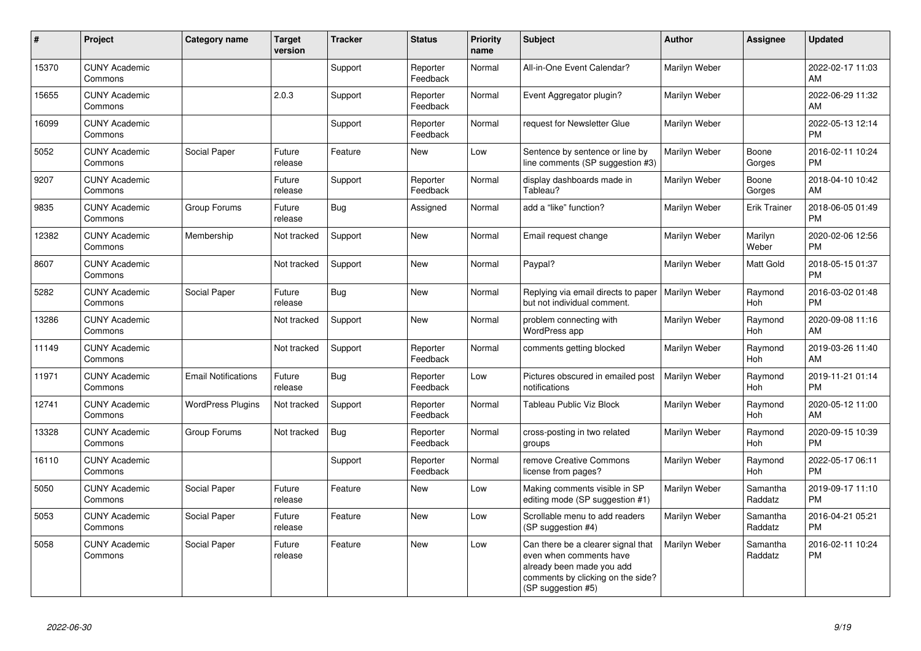| $\#$  | Project                         | <b>Category name</b>       | <b>Target</b><br>version | <b>Tracker</b> | <b>Status</b>        | <b>Priority</b><br>name | <b>Subject</b>                                                                                                                                        | <b>Author</b>        | <b>Assignee</b>     | <b>Updated</b>                |
|-------|---------------------------------|----------------------------|--------------------------|----------------|----------------------|-------------------------|-------------------------------------------------------------------------------------------------------------------------------------------------------|----------------------|---------------------|-------------------------------|
| 15370 | <b>CUNY Academic</b><br>Commons |                            |                          | Support        | Reporter<br>Feedback | Normal                  | All-in-One Event Calendar?                                                                                                                            | Marilyn Weber        |                     | 2022-02-17 11:03<br>AM        |
| 15655 | <b>CUNY Academic</b><br>Commons |                            | 2.0.3                    | Support        | Reporter<br>Feedback | Normal                  | Event Aggregator plugin?                                                                                                                              | Marilyn Weber        |                     | 2022-06-29 11:32<br>AM        |
| 16099 | <b>CUNY Academic</b><br>Commons |                            |                          | Support        | Reporter<br>Feedback | Normal                  | request for Newsletter Glue                                                                                                                           | Marilyn Weber        |                     | 2022-05-13 12:14<br><b>PM</b> |
| 5052  | <b>CUNY Academic</b><br>Commons | Social Paper               | Future<br>release        | Feature        | New                  | Low                     | Sentence by sentence or line by<br>line comments (SP suggestion #3)                                                                                   | Marilyn Weber        | Boone<br>Gorges     | 2016-02-11 10:24<br><b>PM</b> |
| 9207  | <b>CUNY Academic</b><br>Commons |                            | Future<br>release        | Support        | Reporter<br>Feedback | Normal                  | display dashboards made in<br>Tableau?                                                                                                                | Marilyn Weber        | Boone<br>Gorges     | 2018-04-10 10:42<br>AM        |
| 9835  | <b>CUNY Academic</b><br>Commons | Group Forums               | Future<br>release        | Bug            | Assigned             | Normal                  | add a "like" function?                                                                                                                                | Marilyn Weber        | <b>Erik Trainer</b> | 2018-06-05 01:49<br><b>PM</b> |
| 12382 | <b>CUNY Academic</b><br>Commons | Membership                 | Not tracked              | Support        | <b>New</b>           | Normal                  | Email request change                                                                                                                                  | Marilyn Weber        | Marilyn<br>Weber    | 2020-02-06 12:56<br><b>PM</b> |
| 8607  | <b>CUNY Academic</b><br>Commons |                            | Not tracked              | Support        | <b>New</b>           | Normal                  | Paypal?                                                                                                                                               | Marilyn Weber        | Matt Gold           | 2018-05-15 01:37<br><b>PM</b> |
| 5282  | <b>CUNY Academic</b><br>Commons | Social Paper               | Future<br>release        | Bug            | New                  | Normal                  | Replying via email directs to paper<br>but not individual comment.                                                                                    | Marilyn Weber        | Raymond<br>Hoh      | 2016-03-02 01:48<br><b>PM</b> |
| 13286 | <b>CUNY Academic</b><br>Commons |                            | Not tracked              | Support        | <b>New</b>           | Normal                  | problem connecting with<br>WordPress app                                                                                                              | Marilyn Weber        | Raymond<br>Hoh      | 2020-09-08 11:16<br>AM        |
| 11149 | <b>CUNY Academic</b><br>Commons |                            | Not tracked              | Support        | Reporter<br>Feedback | Normal                  | comments getting blocked                                                                                                                              | Marilyn Weber        | Raymond<br>Hoh      | 2019-03-26 11:40<br>AM        |
| 11971 | <b>CUNY Academic</b><br>Commons | <b>Email Notifications</b> | Future<br>release        | <b>Bug</b>     | Reporter<br>Feedback | Low                     | Pictures obscured in emailed post<br>notifications                                                                                                    | <b>Marilyn Weber</b> | Raymond<br>Hoh      | 2019-11-21 01:14<br><b>PM</b> |
| 12741 | <b>CUNY Academic</b><br>Commons | <b>WordPress Plugins</b>   | Not tracked              | Support        | Reporter<br>Feedback | Normal                  | <b>Tableau Public Viz Block</b>                                                                                                                       | Marilyn Weber        | Raymond<br>Hoh      | 2020-05-12 11:00<br>AM        |
| 13328 | <b>CUNY Academic</b><br>Commons | Group Forums               | Not tracked              | Bug            | Reporter<br>Feedback | Normal                  | cross-posting in two related<br>groups                                                                                                                | Marilyn Weber        | Raymond<br>Hoh      | 2020-09-15 10:39<br><b>PM</b> |
| 16110 | <b>CUNY Academic</b><br>Commons |                            |                          | Support        | Reporter<br>Feedback | Normal                  | remove Creative Commons<br>license from pages?                                                                                                        | Marilyn Weber        | Raymond<br>Hoh      | 2022-05-17 06:11<br><b>PM</b> |
| 5050  | <b>CUNY Academic</b><br>Commons | Social Paper               | Future<br>release        | Feature        | New                  | Low                     | Making comments visible in SP<br>editing mode (SP suggestion #1)                                                                                      | Marilyn Weber        | Samantha<br>Raddatz | 2019-09-17 11:10<br><b>PM</b> |
| 5053  | <b>CUNY Academic</b><br>Commons | Social Paper               | Future<br>release        | Feature        | New                  | Low                     | Scrollable menu to add readers<br>(SP suggestion #4)                                                                                                  | Marilyn Weber        | Samantha<br>Raddatz | 2016-04-21 05:21<br><b>PM</b> |
| 5058  | <b>CUNY Academic</b><br>Commons | Social Paper               | Future<br>release        | Feature        | New                  | Low                     | Can there be a clearer signal that<br>even when comments have<br>already been made you add<br>comments by clicking on the side?<br>(SP suggestion #5) | Marilyn Weber        | Samantha<br>Raddatz | 2016-02-11 10:24<br><b>PM</b> |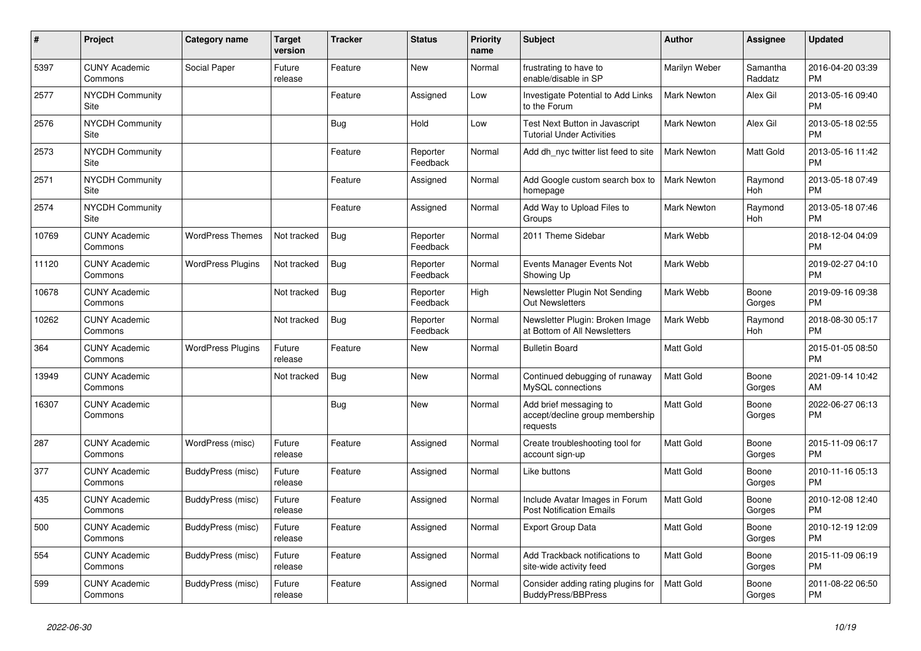| #     | <b>Project</b>                  | Category name            | <b>Target</b><br>version | <b>Tracker</b> | <b>Status</b>        | <b>Priority</b><br>name | <b>Subject</b>                                                        | <b>Author</b>      | Assignee            | <b>Updated</b>                |
|-------|---------------------------------|--------------------------|--------------------------|----------------|----------------------|-------------------------|-----------------------------------------------------------------------|--------------------|---------------------|-------------------------------|
| 5397  | <b>CUNY Academic</b><br>Commons | Social Paper             | Future<br>release        | Feature        | <b>New</b>           | Normal                  | frustrating to have to<br>enable/disable in SP                        | Marilyn Weber      | Samantha<br>Raddatz | 2016-04-20 03:39<br><b>PM</b> |
| 2577  | <b>NYCDH Community</b><br>Site  |                          |                          | Feature        | Assigned             | Low                     | Investigate Potential to Add Links<br>to the Forum                    | <b>Mark Newton</b> | Alex Gil            | 2013-05-16 09:40<br><b>PM</b> |
| 2576  | <b>NYCDH Community</b><br>Site  |                          |                          | Bug            | Hold                 | Low                     | Test Next Button in Javascript<br><b>Tutorial Under Activities</b>    | Mark Newton        | Alex Gil            | 2013-05-18 02:55<br><b>PM</b> |
| 2573  | <b>NYCDH Community</b><br>Site  |                          |                          | Feature        | Reporter<br>Feedback | Normal                  | Add dh nyc twitter list feed to site                                  | <b>Mark Newton</b> | Matt Gold           | 2013-05-16 11:42<br><b>PM</b> |
| 2571  | <b>NYCDH Community</b><br>Site  |                          |                          | Feature        | Assigned             | Normal                  | Add Google custom search box to<br>homepage                           | <b>Mark Newton</b> | Raymond<br>Hoh      | 2013-05-18 07:49<br><b>PM</b> |
| 2574  | <b>NYCDH Community</b><br>Site  |                          |                          | Feature        | Assigned             | Normal                  | Add Way to Upload Files to<br>Groups                                  | <b>Mark Newton</b> | Raymond<br>Hoh      | 2013-05-18 07:46<br><b>PM</b> |
| 10769 | <b>CUNY Academic</b><br>Commons | <b>WordPress Themes</b>  | Not tracked              | <b>Bug</b>     | Reporter<br>Feedback | Normal                  | 2011 Theme Sidebar                                                    | Mark Webb          |                     | 2018-12-04 04:09<br><b>PM</b> |
| 11120 | <b>CUNY Academic</b><br>Commons | <b>WordPress Plugins</b> | Not tracked              | <b>Bug</b>     | Reporter<br>Feedback | Normal                  | Events Manager Events Not<br>Showing Up                               | Mark Webb          |                     | 2019-02-27 04:10<br><b>PM</b> |
| 10678 | <b>CUNY Academic</b><br>Commons |                          | Not tracked              | <b>Bug</b>     | Reporter<br>Feedback | High                    | Newsletter Plugin Not Sending<br>Out Newsletters                      | Mark Webb          | Boone<br>Gorges     | 2019-09-16 09:38<br><b>PM</b> |
| 10262 | <b>CUNY Academic</b><br>Commons |                          | Not tracked              | Bug            | Reporter<br>Feedback | Normal                  | Newsletter Plugin: Broken Image<br>at Bottom of All Newsletters       | Mark Webb          | Raymond<br>Hoh      | 2018-08-30 05:17<br><b>PM</b> |
| 364   | <b>CUNY Academic</b><br>Commons | <b>WordPress Plugins</b> | Future<br>release        | Feature        | <b>New</b>           | Normal                  | <b>Bulletin Board</b>                                                 | <b>Matt Gold</b>   |                     | 2015-01-05 08:50<br><b>PM</b> |
| 13949 | <b>CUNY Academic</b><br>Commons |                          | Not tracked              | <b>Bug</b>     | New                  | Normal                  | Continued debugging of runaway<br>MySQL connections                   | <b>Matt Gold</b>   | Boone<br>Gorges     | 2021-09-14 10:42<br>AM        |
| 16307 | <b>CUNY Academic</b><br>Commons |                          |                          | Bug            | <b>New</b>           | Normal                  | Add brief messaging to<br>accept/decline group membership<br>requests | <b>Matt Gold</b>   | Boone<br>Gorges     | 2022-06-27 06:13<br><b>PM</b> |
| 287   | <b>CUNY Academic</b><br>Commons | WordPress (misc)         | Future<br>release        | Feature        | Assigned             | Normal                  | Create troubleshooting tool for<br>account sign-up                    | <b>Matt Gold</b>   | Boone<br>Gorges     | 2015-11-09 06:17<br><b>PM</b> |
| 377   | <b>CUNY Academic</b><br>Commons | BuddyPress (misc)        | Future<br>release        | Feature        | Assigned             | Normal                  | Like buttons                                                          | <b>Matt Gold</b>   | Boone<br>Gorges     | 2010-11-16 05:13<br><b>PM</b> |
| 435   | <b>CUNY Academic</b><br>Commons | BuddyPress (misc)        | Future<br>release        | Feature        | Assigned             | Normal                  | Include Avatar Images in Forum<br><b>Post Notification Emails</b>     | Matt Gold          | Boone<br>Gorges     | 2010-12-08 12:40<br><b>PM</b> |
| 500   | <b>CUNY Academic</b><br>Commons | BuddyPress (misc)        | Future<br>release        | Feature        | Assigned             | Normal                  | Export Group Data                                                     | Matt Gold          | Boone<br>Gorges     | 2010-12-19 12:09<br><b>PM</b> |
| 554   | <b>CUNY Academic</b><br>Commons | BuddyPress (misc)        | Future<br>release        | Feature        | Assigned             | Normal                  | Add Trackback notifications to<br>site-wide activity feed             | <b>Matt Gold</b>   | Boone<br>Gorges     | 2015-11-09 06:19<br><b>PM</b> |
| 599   | <b>CUNY Academic</b><br>Commons | BuddyPress (misc)        | Future<br>release        | Feature        | Assigned             | Normal                  | Consider adding rating plugins for<br><b>BuddyPress/BBPress</b>       | <b>Matt Gold</b>   | Boone<br>Gorges     | 2011-08-22 06:50<br><b>PM</b> |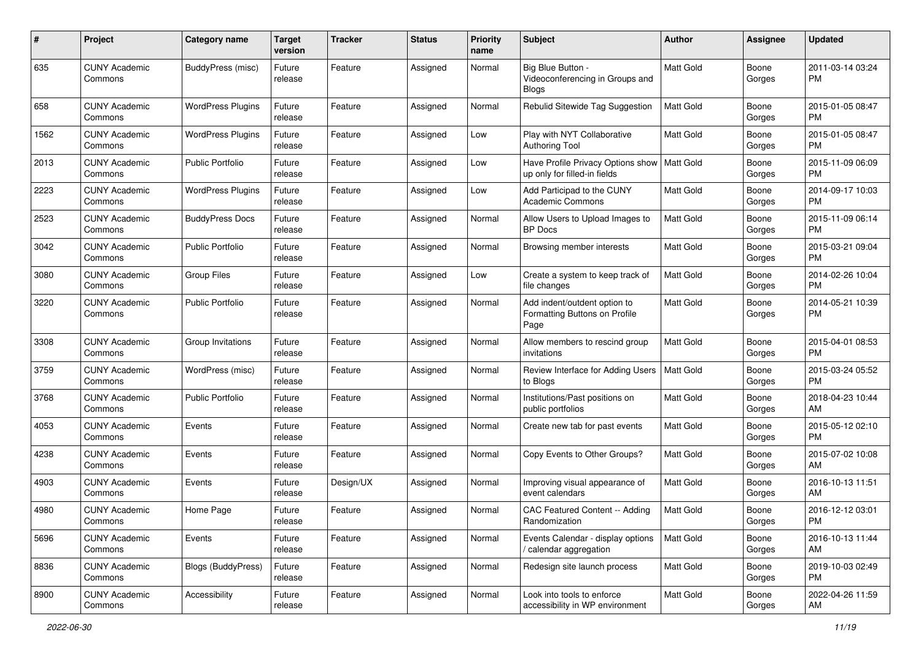| #    | Project                         | <b>Category name</b>     | <b>Target</b><br>version | <b>Tracker</b> | <b>Status</b> | <b>Priority</b><br>name | <b>Subject</b>                                                        | Author           | <b>Assignee</b> | <b>Updated</b>                |
|------|---------------------------------|--------------------------|--------------------------|----------------|---------------|-------------------------|-----------------------------------------------------------------------|------------------|-----------------|-------------------------------|
| 635  | <b>CUNY Academic</b><br>Commons | BuddyPress (misc)        | Future<br>release        | Feature        | Assigned      | Normal                  | Big Blue Button -<br>Videoconferencing in Groups and<br><b>Blogs</b>  | Matt Gold        | Boone<br>Gorges | 2011-03-14 03:24<br>PM.       |
| 658  | <b>CUNY Academic</b><br>Commons | <b>WordPress Plugins</b> | Future<br>release        | Feature        | Assigned      | Normal                  | Rebulid Sitewide Tag Suggestion                                       | <b>Matt Gold</b> | Boone<br>Gorges | 2015-01-05 08:47<br>PM.       |
| 1562 | <b>CUNY Academic</b><br>Commons | <b>WordPress Plugins</b> | Future<br>release        | Feature        | Assigned      | Low                     | Play with NYT Collaborative<br><b>Authoring Tool</b>                  | <b>Matt Gold</b> | Boone<br>Gorges | 2015-01-05 08:47<br><b>PM</b> |
| 2013 | <b>CUNY Academic</b><br>Commons | <b>Public Portfolio</b>  | Future<br>release        | Feature        | Assigned      | Low                     | Have Profile Privacy Options show<br>up only for filled-in fields     | Matt Gold        | Boone<br>Gorges | 2015-11-09 06:09<br>PM        |
| 2223 | <b>CUNY Academic</b><br>Commons | <b>WordPress Plugins</b> | Future<br>release        | Feature        | Assigned      | Low                     | Add Participad to the CUNY<br><b>Academic Commons</b>                 | Matt Gold        | Boone<br>Gorges | 2014-09-17 10:03<br><b>PM</b> |
| 2523 | <b>CUNY Academic</b><br>Commons | <b>BuddyPress Docs</b>   | Future<br>release        | Feature        | Assigned      | Normal                  | Allow Users to Upload Images to<br><b>BP</b> Docs                     | <b>Matt Gold</b> | Boone<br>Gorges | 2015-11-09 06:14<br><b>PM</b> |
| 3042 | <b>CUNY Academic</b><br>Commons | <b>Public Portfolio</b>  | Future<br>release        | Feature        | Assigned      | Normal                  | Browsing member interests                                             | Matt Gold        | Boone<br>Gorges | 2015-03-21 09:04<br><b>PM</b> |
| 3080 | <b>CUNY Academic</b><br>Commons | <b>Group Files</b>       | Future<br>release        | Feature        | Assigned      | Low                     | Create a system to keep track of<br>file changes                      | <b>Matt Gold</b> | Boone<br>Gorges | 2014-02-26 10:04<br><b>PM</b> |
| 3220 | <b>CUNY Academic</b><br>Commons | Public Portfolio         | Future<br>release        | Feature        | Assigned      | Normal                  | Add indent/outdent option to<br>Formatting Buttons on Profile<br>Page | <b>Matt Gold</b> | Boone<br>Gorges | 2014-05-21 10:39<br>PM.       |
| 3308 | <b>CUNY Academic</b><br>Commons | Group Invitations        | Future<br>release        | Feature        | Assigned      | Normal                  | Allow members to rescind group<br>invitations                         | <b>Matt Gold</b> | Boone<br>Gorges | 2015-04-01 08:53<br>PM.       |
| 3759 | <b>CUNY Academic</b><br>Commons | WordPress (misc)         | Future<br>release        | Feature        | Assigned      | Normal                  | Review Interface for Adding Users<br>to Blogs                         | Matt Gold        | Boone<br>Gorges | 2015-03-24 05:52<br><b>PM</b> |
| 3768 | <b>CUNY Academic</b><br>Commons | <b>Public Portfolio</b>  | Future<br>release        | Feature        | Assigned      | Normal                  | Institutions/Past positions on<br>public portfolios                   | Matt Gold        | Boone<br>Gorges | 2018-04-23 10:44<br>AM        |
| 4053 | <b>CUNY Academic</b><br>Commons | Events                   | Future<br>release        | Feature        | Assigned      | Normal                  | Create new tab for past events                                        | Matt Gold        | Boone<br>Gorges | 2015-05-12 02:10<br><b>PM</b> |
| 4238 | <b>CUNY Academic</b><br>Commons | Events                   | Future<br>release        | Feature        | Assigned      | Normal                  | Copy Events to Other Groups?                                          | <b>Matt Gold</b> | Boone<br>Gorges | 2015-07-02 10:08<br>AM        |
| 4903 | <b>CUNY Academic</b><br>Commons | Events                   | Future<br>release        | Design/UX      | Assigned      | Normal                  | Improving visual appearance of<br>event calendars                     | Matt Gold        | Boone<br>Gorges | 2016-10-13 11:51<br>AM        |
| 4980 | <b>CUNY Academic</b><br>Commons | Home Page                | Future<br>release        | Feature        | Assigned      | Normal                  | CAC Featured Content -- Adding<br>Randomization                       | Matt Gold        | Boone<br>Gorges | 2016-12-12 03:01<br>PM        |
| 5696 | <b>CUNY Academic</b><br>Commons | Events                   | Future<br>release        | Feature        | Assigned      | Normal                  | Events Calendar - display options<br>/ calendar aggregation           | Matt Gold        | Boone<br>Gorges | 2016-10-13 11:44<br>AM        |
| 8836 | <b>CUNY Academic</b><br>Commons | Blogs (BuddyPress)       | Future<br>release        | Feature        | Assigned      | Normal                  | Redesign site launch process                                          | Matt Gold        | Boone<br>Gorges | 2019-10-03 02:49<br><b>PM</b> |
| 8900 | <b>CUNY Academic</b><br>Commons | Accessibility            | Future<br>release        | Feature        | Assigned      | Normal                  | Look into tools to enforce<br>accessibility in WP environment         | Matt Gold        | Boone<br>Gorges | 2022-04-26 11:59<br>AM        |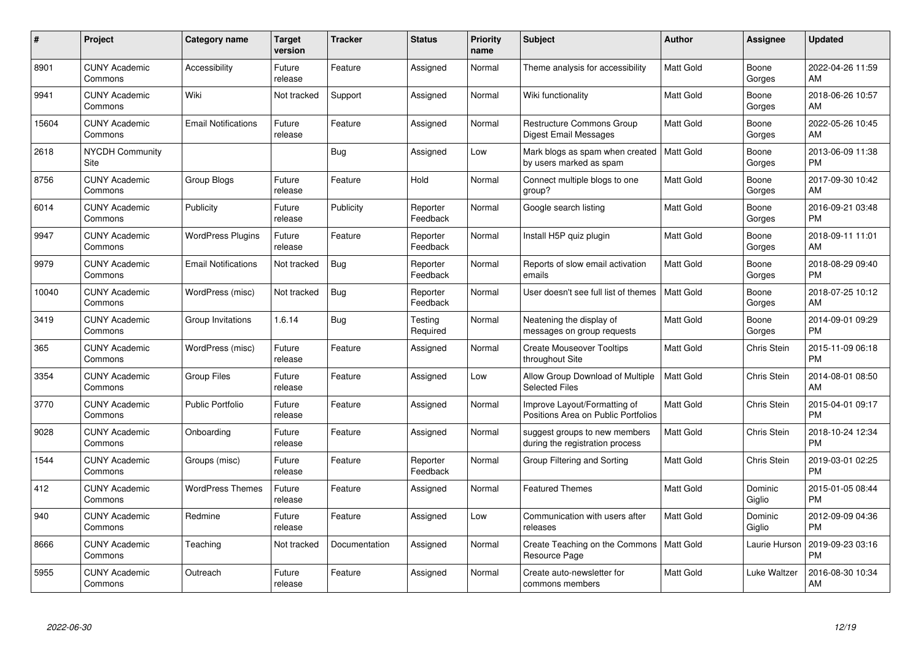| #     | Project                         | <b>Category name</b>       | <b>Target</b><br>version | <b>Tracker</b> | <b>Status</b>        | Priority<br>name | <b>Subject</b>                                                      | <b>Author</b>    | <b>Assignee</b>   | <b>Updated</b>                |
|-------|---------------------------------|----------------------------|--------------------------|----------------|----------------------|------------------|---------------------------------------------------------------------|------------------|-------------------|-------------------------------|
| 8901  | <b>CUNY Academic</b><br>Commons | Accessibility              | Future<br>release        | Feature        | Assigned             | Normal           | Theme analysis for accessibility                                    | <b>Matt Gold</b> | Boone<br>Gorges   | 2022-04-26 11:59<br>AM        |
| 9941  | <b>CUNY Academic</b><br>Commons | Wiki                       | Not tracked              | Support        | Assigned             | Normal           | Wiki functionality                                                  | <b>Matt Gold</b> | Boone<br>Gorges   | 2018-06-26 10:57<br>AM        |
| 15604 | <b>CUNY Academic</b><br>Commons | <b>Email Notifications</b> | Future<br>release        | Feature        | Assigned             | Normal           | <b>Restructure Commons Group</b><br>Digest Email Messages           | Matt Gold        | Boone<br>Gorges   | 2022-05-26 10:45<br>AM        |
| 2618  | <b>NYCDH Community</b><br>Site  |                            |                          | Bug            | Assigned             | Low              | Mark blogs as spam when created<br>by users marked as spam          | Matt Gold        | Boone<br>Gorges   | 2013-06-09 11:38<br><b>PM</b> |
| 8756  | <b>CUNY Academic</b><br>Commons | Group Blogs                | Future<br>release        | Feature        | Hold                 | Normal           | Connect multiple blogs to one<br>group?                             | Matt Gold        | Boone<br>Gorges   | 2017-09-30 10:42<br>AM        |
| 6014  | <b>CUNY Academic</b><br>Commons | Publicity                  | Future<br>release        | Publicity      | Reporter<br>Feedback | Normal           | Google search listing                                               | <b>Matt Gold</b> | Boone<br>Gorges   | 2016-09-21 03:48<br><b>PM</b> |
| 9947  | <b>CUNY Academic</b><br>Commons | <b>WordPress Plugins</b>   | Future<br>release        | Feature        | Reporter<br>Feedback | Normal           | Install H5P quiz plugin                                             | <b>Matt Gold</b> | Boone<br>Gorges   | 2018-09-11 11:01<br>AM        |
| 9979  | <b>CUNY Academic</b><br>Commons | <b>Email Notifications</b> | Not tracked              | Bug            | Reporter<br>Feedback | Normal           | Reports of slow email activation<br>emails                          | <b>Matt Gold</b> | Boone<br>Gorges   | 2018-08-29 09:40<br><b>PM</b> |
| 10040 | <b>CUNY Academic</b><br>Commons | WordPress (misc)           | Not tracked              | Bug            | Reporter<br>Feedback | Normal           | User doesn't see full list of themes                                | <b>Matt Gold</b> | Boone<br>Gorges   | 2018-07-25 10:12<br>AM        |
| 3419  | <b>CUNY Academic</b><br>Commons | Group Invitations          | 1.6.14                   | Bug            | Testing<br>Required  | Normal           | Neatening the display of<br>messages on group requests              | <b>Matt Gold</b> | Boone<br>Gorges   | 2014-09-01 09:29<br><b>PM</b> |
| 365   | <b>CUNY Academic</b><br>Commons | WordPress (misc)           | Future<br>release        | Feature        | Assigned             | Normal           | <b>Create Mouseover Tooltips</b><br>throughout Site                 | Matt Gold        | Chris Stein       | 2015-11-09 06:18<br><b>PM</b> |
| 3354  | <b>CUNY Academic</b><br>Commons | <b>Group Files</b>         | Future<br>release        | Feature        | Assigned             | Low              | Allow Group Download of Multiple<br><b>Selected Files</b>           | <b>Matt Gold</b> | Chris Stein       | 2014-08-01 08:50<br>AM        |
| 3770  | <b>CUNY Academic</b><br>Commons | <b>Public Portfolio</b>    | Future<br>release        | Feature        | Assigned             | Normal           | Improve Layout/Formatting of<br>Positions Area on Public Portfolios | Matt Gold        | Chris Stein       | 2015-04-01 09:17<br><b>PM</b> |
| 9028  | <b>CUNY Academic</b><br>Commons | Onboarding                 | Future<br>release        | Feature        | Assigned             | Normal           | suggest groups to new members<br>during the registration process    | Matt Gold        | Chris Stein       | 2018-10-24 12:34<br><b>PM</b> |
| 1544  | <b>CUNY Academic</b><br>Commons | Groups (misc)              | Future<br>release        | Feature        | Reporter<br>Feedback | Normal           | Group Filtering and Sorting                                         | Matt Gold        | Chris Stein       | 2019-03-01 02:25<br><b>PM</b> |
| 412   | <b>CUNY Academic</b><br>Commons | <b>WordPress Themes</b>    | Future<br>release        | Feature        | Assigned             | Normal           | <b>Featured Themes</b>                                              | <b>Matt Gold</b> | Dominic<br>Giglio | 2015-01-05 08:44<br><b>PM</b> |
| 940   | <b>CUNY Academic</b><br>Commons | Redmine                    | Future<br>release        | Feature        | Assigned             | Low              | Communication with users after<br>releases                          | <b>Matt Gold</b> | Dominic<br>Giglio | 2012-09-09 04:36<br><b>PM</b> |
| 8666  | <b>CUNY Academic</b><br>Commons | Teaching                   | Not tracked              | Documentation  | Assigned             | Normal           | Create Teaching on the Commons<br>Resource Page                     | <b>Matt Gold</b> | Laurie Hurson     | 2019-09-23 03:16<br><b>PM</b> |
| 5955  | CUNY Academic<br>Commons        | Outreach                   | Future<br>release        | Feature        | Assigned             | Normal           | Create auto-newsletter for<br>commons members                       | <b>Matt Gold</b> | Luke Waltzer      | 2016-08-30 10:34<br>AM        |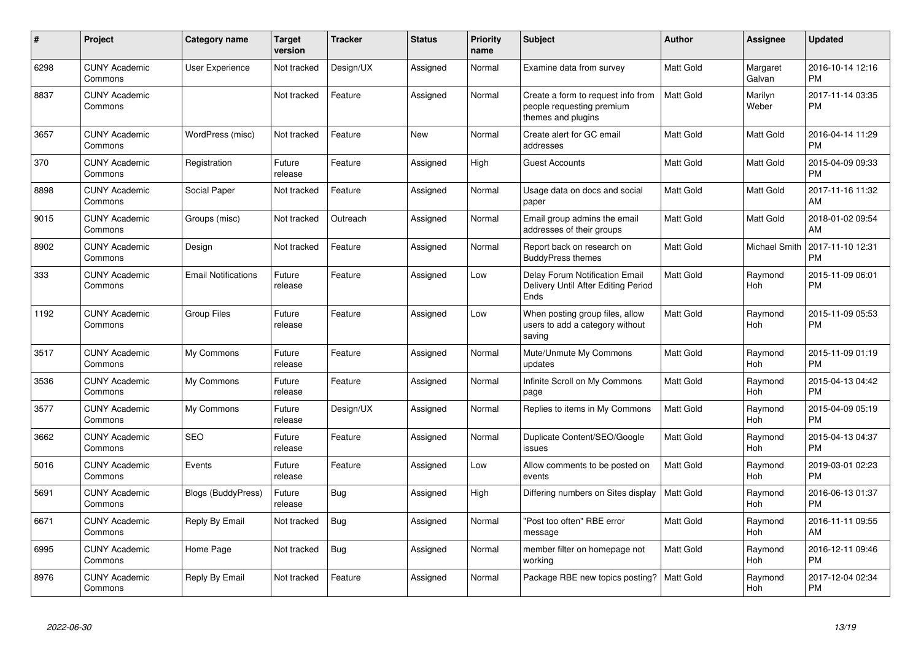| #    | Project                         | <b>Category name</b>       | <b>Target</b><br>version | <b>Tracker</b> | <b>Status</b> | <b>Priority</b><br>name | <b>Subject</b>                                                                        | <b>Author</b> | Assignee              | <b>Updated</b>                |
|------|---------------------------------|----------------------------|--------------------------|----------------|---------------|-------------------------|---------------------------------------------------------------------------------------|---------------|-----------------------|-------------------------------|
| 6298 | <b>CUNY Academic</b><br>Commons | <b>User Experience</b>     | Not tracked              | Design/UX      | Assigned      | Normal                  | Examine data from survey                                                              | Matt Gold     | Margaret<br>Galvan    | 2016-10-14 12:16<br><b>PM</b> |
| 8837 | <b>CUNY Academic</b><br>Commons |                            | Not tracked              | Feature        | Assigned      | Normal                  | Create a form to request info from<br>people requesting premium<br>themes and plugins | Matt Gold     | Marilyn<br>Weber      | 2017-11-14 03:35<br><b>PM</b> |
| 3657 | <b>CUNY Academic</b><br>Commons | WordPress (misc)           | Not tracked              | Feature        | <b>New</b>    | Normal                  | Create alert for GC email<br>addresses                                                | Matt Gold     | Matt Gold             | 2016-04-14 11:29<br>PM        |
| 370  | <b>CUNY Academic</b><br>Commons | Registration               | Future<br>release        | Feature        | Assigned      | High                    | <b>Guest Accounts</b>                                                                 | Matt Gold     | Matt Gold             | 2015-04-09 09:33<br><b>PM</b> |
| 8898 | <b>CUNY Academic</b><br>Commons | Social Paper               | Not tracked              | Feature        | Assigned      | Normal                  | Usage data on docs and social<br>paper                                                | Matt Gold     | Matt Gold             | 2017-11-16 11:32<br>AM        |
| 9015 | <b>CUNY Academic</b><br>Commons | Groups (misc)              | Not tracked              | Outreach       | Assigned      | Normal                  | Email group admins the email<br>addresses of their groups                             | Matt Gold     | Matt Gold             | 2018-01-02 09:54<br>AM        |
| 8902 | <b>CUNY Academic</b><br>Commons | Design                     | Not tracked              | Feature        | Assigned      | Normal                  | Report back on research on<br><b>BuddyPress themes</b>                                | Matt Gold     | Michael Smith         | 2017-11-10 12:31<br><b>PM</b> |
| 333  | <b>CUNY Academic</b><br>Commons | <b>Email Notifications</b> | Future<br>release        | Feature        | Assigned      | Low                     | Delay Forum Notification Email<br>Delivery Until After Editing Period<br>Ends         | Matt Gold     | Raymond<br>Hoh        | 2015-11-09 06:01<br>PM        |
| 1192 | <b>CUNY Academic</b><br>Commons | <b>Group Files</b>         | Future<br>release        | Feature        | Assigned      | Low                     | When posting group files, allow<br>users to add a category without<br>saving          | Matt Gold     | Raymond<br><b>Hoh</b> | 2015-11-09 05:53<br><b>PM</b> |
| 3517 | <b>CUNY Academic</b><br>Commons | My Commons                 | Future<br>release        | Feature        | Assigned      | Normal                  | Mute/Unmute My Commons<br>updates                                                     | Matt Gold     | Raymond<br>Hoh        | 2015-11-09 01:19<br><b>PM</b> |
| 3536 | <b>CUNY Academic</b><br>Commons | My Commons                 | Future<br>release        | Feature        | Assigned      | Normal                  | Infinite Scroll on My Commons<br>page                                                 | Matt Gold     | Raymond<br>Hoh        | 2015-04-13 04:42<br><b>PM</b> |
| 3577 | <b>CUNY Academic</b><br>Commons | My Commons                 | Future<br>release        | Design/UX      | Assigned      | Normal                  | Replies to items in My Commons                                                        | Matt Gold     | Raymond<br><b>Hoh</b> | 2015-04-09 05:19<br><b>PM</b> |
| 3662 | <b>CUNY Academic</b><br>Commons | <b>SEO</b>                 | Future<br>release        | Feature        | Assigned      | Normal                  | Duplicate Content/SEO/Google<br>issues                                                | Matt Gold     | Raymond<br><b>Hoh</b> | 2015-04-13 04:37<br>PM        |
| 5016 | <b>CUNY Academic</b><br>Commons | Events                     | Future<br>release        | Feature        | Assigned      | Low                     | Allow comments to be posted on<br>events                                              | Matt Gold     | Raymond<br><b>Hoh</b> | 2019-03-01 02:23<br><b>PM</b> |
| 5691 | <b>CUNY Academic</b><br>Commons | <b>Blogs (BuddyPress)</b>  | Future<br>release        | Bug            | Assigned      | High                    | Differing numbers on Sites display                                                    | Matt Gold     | Raymond<br><b>Hoh</b> | 2016-06-13 01:37<br><b>PM</b> |
| 6671 | <b>CUNY Academic</b><br>Commons | Reply By Email             | Not tracked              | Bug            | Assigned      | Normal                  | "Post too often" RBE error<br>message                                                 | Matt Gold     | Raymond<br><b>Hoh</b> | 2016-11-11 09:55<br>AM        |
| 6995 | <b>CUNY Academic</b><br>Commons | Home Page                  | Not tracked              | Bug            | Assigned      | Normal                  | member filter on homepage not<br>working                                              | Matt Gold     | Raymond<br>Hoh        | 2016-12-11 09:46<br><b>PM</b> |
| 8976 | <b>CUNY Academic</b><br>Commons | Reply By Email             | Not tracked              | Feature        | Assigned      | Normal                  | Package RBE new topics posting?                                                       | Matt Gold     | Raymond<br>Hoh        | 2017-12-04 02:34<br><b>PM</b> |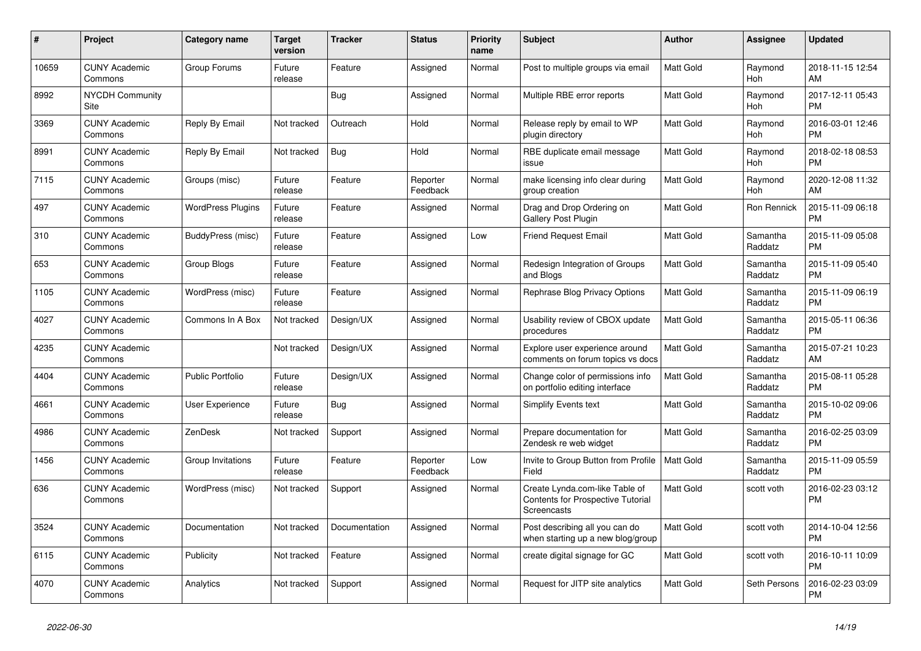| #     | Project                         | <b>Category name</b>     | Target<br>version | <b>Tracker</b> | <b>Status</b>        | <b>Priority</b><br>name | <b>Subject</b>                                                                            | Author           | Assignee            | <b>Updated</b>                |
|-------|---------------------------------|--------------------------|-------------------|----------------|----------------------|-------------------------|-------------------------------------------------------------------------------------------|------------------|---------------------|-------------------------------|
| 10659 | <b>CUNY Academic</b><br>Commons | Group Forums             | Future<br>release | Feature        | Assigned             | Normal                  | Post to multiple groups via email                                                         | <b>Matt Gold</b> | Raymond<br>Hoh      | 2018-11-15 12:54<br>AM        |
| 8992  | <b>NYCDH Community</b><br>Site  |                          |                   | Bug            | Assigned             | Normal                  | Multiple RBE error reports                                                                | Matt Gold        | Raymond<br>Hoh      | 2017-12-11 05:43<br><b>PM</b> |
| 3369  | <b>CUNY Academic</b><br>Commons | Reply By Email           | Not tracked       | Outreach       | Hold                 | Normal                  | Release reply by email to WP<br>plugin directory                                          | <b>Matt Gold</b> | Raymond<br>Hoh      | 2016-03-01 12:46<br><b>PM</b> |
| 8991  | <b>CUNY Academic</b><br>Commons | Reply By Email           | Not tracked       | <b>Bug</b>     | Hold                 | Normal                  | RBE duplicate email message<br>issue                                                      | <b>Matt Gold</b> | Raymond<br>Hoh      | 2018-02-18 08:53<br><b>PM</b> |
| 7115  | <b>CUNY Academic</b><br>Commons | Groups (misc)            | Future<br>release | Feature        | Reporter<br>Feedback | Normal                  | make licensing info clear during<br>group creation                                        | <b>Matt Gold</b> | Raymond<br>Hoh      | 2020-12-08 11:32<br>AM        |
| 497   | <b>CUNY Academic</b><br>Commons | <b>WordPress Plugins</b> | Future<br>release | Feature        | Assigned             | Normal                  | Drag and Drop Ordering on<br><b>Gallery Post Plugin</b>                                   | <b>Matt Gold</b> | Ron Rennick         | 2015-11-09 06:18<br><b>PM</b> |
| 310   | <b>CUNY Academic</b><br>Commons | BuddyPress (misc)        | Future<br>release | Feature        | Assigned             | Low                     | <b>Friend Request Email</b>                                                               | <b>Matt Gold</b> | Samantha<br>Raddatz | 2015-11-09 05:08<br><b>PM</b> |
| 653   | <b>CUNY Academic</b><br>Commons | Group Blogs              | Future<br>release | Feature        | Assigned             | Normal                  | Redesign Integration of Groups<br>and Blogs                                               | <b>Matt Gold</b> | Samantha<br>Raddatz | 2015-11-09 05:40<br><b>PM</b> |
| 1105  | <b>CUNY Academic</b><br>Commons | WordPress (misc)         | Future<br>release | Feature        | Assigned             | Normal                  | Rephrase Blog Privacy Options                                                             | Matt Gold        | Samantha<br>Raddatz | 2015-11-09 06:19<br><b>PM</b> |
| 4027  | <b>CUNY Academic</b><br>Commons | Commons In A Box         | Not tracked       | Design/UX      | Assigned             | Normal                  | Usability review of CBOX update<br>procedures                                             | <b>Matt Gold</b> | Samantha<br>Raddatz | 2015-05-11 06:36<br><b>PM</b> |
| 4235  | <b>CUNY Academic</b><br>Commons |                          | Not tracked       | Design/UX      | Assigned             | Normal                  | Explore user experience around<br>comments on forum topics vs docs                        | <b>Matt Gold</b> | Samantha<br>Raddatz | 2015-07-21 10:23<br>AM        |
| 4404  | <b>CUNY Academic</b><br>Commons | <b>Public Portfolio</b>  | Future<br>release | Design/UX      | Assigned             | Normal                  | Change color of permissions info<br>on portfolio editing interface                        | Matt Gold        | Samantha<br>Raddatz | 2015-08-11 05:28<br><b>PM</b> |
| 4661  | <b>CUNY Academic</b><br>Commons | User Experience          | Future<br>release | Bug            | Assigned             | Normal                  | Simplify Events text                                                                      | <b>Matt Gold</b> | Samantha<br>Raddatz | 2015-10-02 09:06<br><b>PM</b> |
| 4986  | <b>CUNY Academic</b><br>Commons | ZenDesk                  | Not tracked       | Support        | Assigned             | Normal                  | Prepare documentation for<br>Zendesk re web widget                                        | <b>Matt Gold</b> | Samantha<br>Raddatz | 2016-02-25 03:09<br><b>PM</b> |
| 1456  | <b>CUNY Academic</b><br>Commons | Group Invitations        | Future<br>release | Feature        | Reporter<br>Feedback | Low                     | Invite to Group Button from Profile<br>Field                                              | <b>Matt Gold</b> | Samantha<br>Raddatz | 2015-11-09 05:59<br><b>PM</b> |
| 636   | <b>CUNY Academic</b><br>Commons | WordPress (misc)         | Not tracked       | Support        | Assigned             | Normal                  | Create Lynda.com-like Table of<br>Contents for Prospective Tutorial<br><b>Screencasts</b> | <b>Matt Gold</b> | scott voth          | 2016-02-23 03:12<br><b>PM</b> |
| 3524  | <b>CUNY Academic</b><br>Commons | Documentation            | Not tracked       | Documentation  | Assigned             | Normal                  | Post describing all you can do<br>when starting up a new blog/group                       | <b>Matt Gold</b> | scott voth          | 2014-10-04 12:56<br><b>PM</b> |
| 6115  | <b>CUNY Academic</b><br>Commons | Publicity                | Not tracked       | Feature        | Assigned             | Normal                  | create digital signage for GC                                                             | <b>Matt Gold</b> | scott voth          | 2016-10-11 10:09<br><b>PM</b> |
| 4070  | <b>CUNY Academic</b><br>Commons | Analytics                | Not tracked       | Support        | Assigned             | Normal                  | Request for JITP site analytics                                                           | <b>Matt Gold</b> | Seth Persons        | 2016-02-23 03:09<br><b>PM</b> |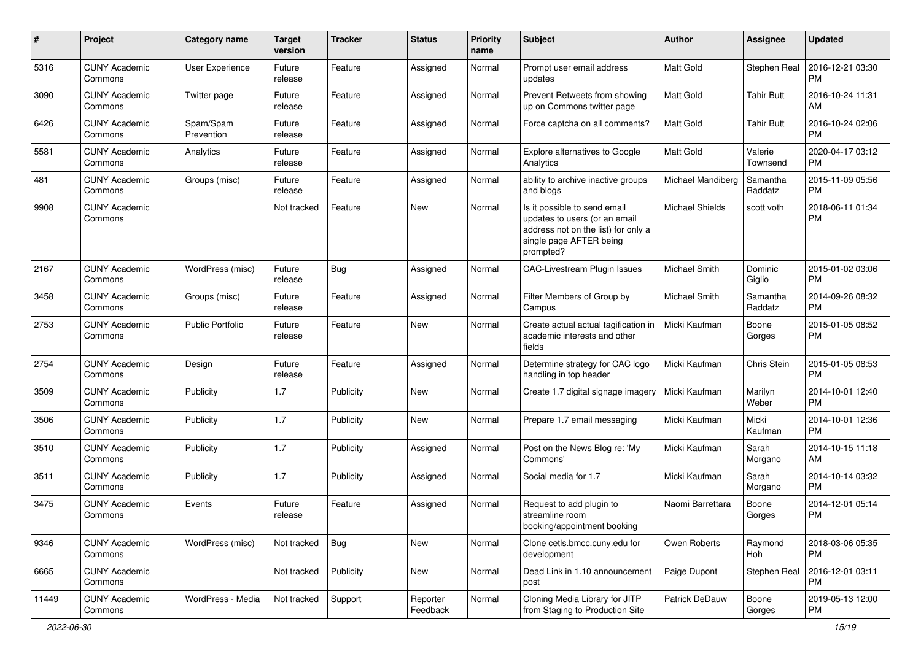| #     | Project                         | <b>Category name</b>    | <b>Target</b><br>version | <b>Tracker</b> | <b>Status</b>        | <b>Priority</b><br>name | <b>Subject</b>                                                                                                                               | Author            | <b>Assignee</b>     | <b>Updated</b>                |
|-------|---------------------------------|-------------------------|--------------------------|----------------|----------------------|-------------------------|----------------------------------------------------------------------------------------------------------------------------------------------|-------------------|---------------------|-------------------------------|
| 5316  | <b>CUNY Academic</b><br>Commons | User Experience         | Future<br>release        | Feature        | Assigned             | Normal                  | Prompt user email address<br>updates                                                                                                         | <b>Matt Gold</b>  | Stephen Real        | 2016-12-21 03:30<br><b>PM</b> |
| 3090  | <b>CUNY Academic</b><br>Commons | Twitter page            | Future<br>release        | Feature        | Assigned             | Normal                  | Prevent Retweets from showing<br>up on Commons twitter page                                                                                  | <b>Matt Gold</b>  | <b>Tahir Butt</b>   | 2016-10-24 11:31<br>AM        |
| 6426  | <b>CUNY Academic</b><br>Commons | Spam/Spam<br>Prevention | Future<br>release        | Feature        | Assigned             | Normal                  | Force captcha on all comments?                                                                                                               | <b>Matt Gold</b>  | Tahir Butt          | 2016-10-24 02:06<br><b>PM</b> |
| 5581  | <b>CUNY Academic</b><br>Commons | Analytics               | Future<br>release        | Feature        | Assigned             | Normal                  | Explore alternatives to Google<br>Analytics                                                                                                  | <b>Matt Gold</b>  | Valerie<br>Townsend | 2020-04-17 03:12<br><b>PM</b> |
| 481   | <b>CUNY Academic</b><br>Commons | Groups (misc)           | Future<br>release        | Feature        | Assigned             | Normal                  | ability to archive inactive groups<br>and blogs                                                                                              | Michael Mandiberg | Samantha<br>Raddatz | 2015-11-09 05:56<br><b>PM</b> |
| 9908  | <b>CUNY Academic</b><br>Commons |                         | Not tracked              | Feature        | New                  | Normal                  | Is it possible to send email<br>updates to users (or an email<br>address not on the list) for only a<br>single page AFTER being<br>prompted? | Michael Shields   | scott voth          | 2018-06-11 01:34<br><b>PM</b> |
| 2167  | <b>CUNY Academic</b><br>Commons | WordPress (misc)        | Future<br>release        | Bug            | Assigned             | Normal                  | CAC-Livestream Plugin Issues                                                                                                                 | Michael Smith     | Dominic<br>Giglio   | 2015-01-02 03:06<br><b>PM</b> |
| 3458  | <b>CUNY Academic</b><br>Commons | Groups (misc)           | Future<br>release        | Feature        | Assigned             | Normal                  | Filter Members of Group by<br>Campus                                                                                                         | Michael Smith     | Samantha<br>Raddatz | 2014-09-26 08:32<br><b>PM</b> |
| 2753  | <b>CUNY Academic</b><br>Commons | <b>Public Portfolio</b> | Future<br>release        | Feature        | New                  | Normal                  | Create actual actual tagification in<br>academic interests and other<br>fields                                                               | Micki Kaufman     | Boone<br>Gorges     | 2015-01-05 08:52<br><b>PM</b> |
| 2754  | <b>CUNY Academic</b><br>Commons | Design                  | Future<br>release        | Feature        | Assigned             | Normal                  | Determine strategy for CAC logo<br>handling in top header                                                                                    | Micki Kaufman     | Chris Stein         | 2015-01-05 08:53<br><b>PM</b> |
| 3509  | <b>CUNY Academic</b><br>Commons | Publicity               | 1.7                      | Publicity      | <b>New</b>           | Normal                  | Create 1.7 digital signage imagery                                                                                                           | Micki Kaufman     | Marilyn<br>Weber    | 2014-10-01 12:40<br><b>PM</b> |
| 3506  | <b>CUNY Academic</b><br>Commons | Publicity               | 1.7                      | Publicity      | <b>New</b>           | Normal                  | Prepare 1.7 email messaging                                                                                                                  | Micki Kaufman     | Micki<br>Kaufman    | 2014-10-01 12:36<br><b>PM</b> |
| 3510  | <b>CUNY Academic</b><br>Commons | Publicity               | 1.7                      | Publicity      | Assigned             | Normal                  | Post on the News Blog re: 'My<br>Commons'                                                                                                    | Micki Kaufman     | Sarah<br>Morgano    | 2014-10-15 11:18<br>AM        |
| 3511  | <b>CUNY Academic</b><br>Commons | Publicity               | 1.7                      | Publicity      | Assigned             | Normal                  | Social media for 1.7                                                                                                                         | Micki Kaufman     | Sarah<br>Morgano    | 2014-10-14 03:32<br><b>PM</b> |
| 3475  | <b>CUNY Academic</b><br>Commons | Events                  | Future<br>release        | Feature        | Assigned             | Normal                  | Request to add plugin to<br>streamline room<br>booking/appointment booking                                                                   | Naomi Barrettara  | Boone<br>Gorges     | 2014-12-01 05:14<br><b>PM</b> |
| 9346  | <b>CUNY Academic</b><br>Commons | WordPress (misc)        | Not tracked              | Bug            | <b>New</b>           | Normal                  | Clone cetls.bmcc.cuny.edu for<br>development                                                                                                 | Owen Roberts      | Raymond<br>Hoh      | 2018-03-06 05:35<br><b>PM</b> |
| 6665  | <b>CUNY Academic</b><br>Commons |                         | Not tracked              | Publicity      | New                  | Normal                  | Dead Link in 1.10 announcement<br>post                                                                                                       | Paige Dupont      | Stephen Real        | 2016-12-01 03:11<br><b>PM</b> |
| 11449 | <b>CUNY Academic</b><br>Commons | WordPress - Media       | Not tracked              | Support        | Reporter<br>Feedback | Normal                  | Cloning Media Library for JITP<br>from Staging to Production Site                                                                            | Patrick DeDauw    | Boone<br>Gorges     | 2019-05-13 12:00<br>PM        |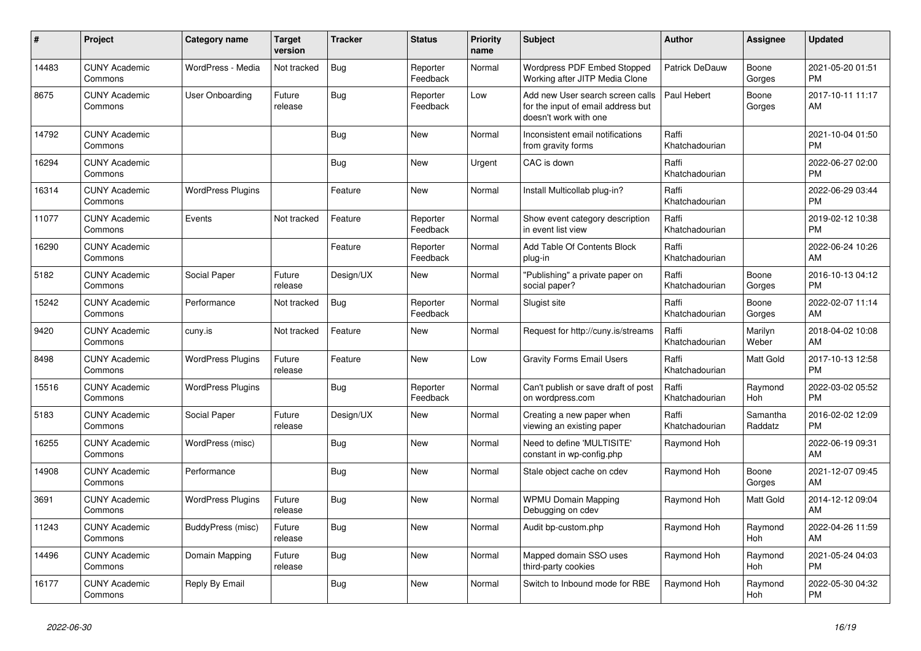| #     | Project                         | Category name            | <b>Target</b><br>version | <b>Tracker</b> | <b>Status</b>        | <b>Priority</b><br>name | <b>Subject</b>                                                                                  | <b>Author</b>           | Assignee            | <b>Updated</b>                |
|-------|---------------------------------|--------------------------|--------------------------|----------------|----------------------|-------------------------|-------------------------------------------------------------------------------------------------|-------------------------|---------------------|-------------------------------|
| 14483 | <b>CUNY Academic</b><br>Commons | WordPress - Media        | Not tracked              | Bug            | Reporter<br>Feedback | Normal                  | Wordpress PDF Embed Stopped<br>Working after JITP Media Clone                                   | Patrick DeDauw          | Boone<br>Gorges     | 2021-05-20 01:51<br><b>PM</b> |
| 8675  | <b>CUNY Academic</b><br>Commons | User Onboarding          | Future<br>release        | Bug            | Reporter<br>Feedback | Low                     | Add new User search screen calls<br>for the input of email address but<br>doesn't work with one | Paul Hebert             | Boone<br>Gorges     | 2017-10-11 11:17<br>AM        |
| 14792 | <b>CUNY Academic</b><br>Commons |                          |                          | Bug            | <b>New</b>           | Normal                  | Inconsistent email notifications<br>from gravity forms                                          | Raffi<br>Khatchadourian |                     | 2021-10-04 01:50<br><b>PM</b> |
| 16294 | <b>CUNY Academic</b><br>Commons |                          |                          | <b>Bug</b>     | <b>New</b>           | Urgent                  | CAC is down                                                                                     | Raffi<br>Khatchadourian |                     | 2022-06-27 02:00<br><b>PM</b> |
| 16314 | <b>CUNY Academic</b><br>Commons | <b>WordPress Plugins</b> |                          | Feature        | <b>New</b>           | Normal                  | Install Multicollab plug-in?                                                                    | Raffi<br>Khatchadourian |                     | 2022-06-29 03:44<br><b>PM</b> |
| 11077 | <b>CUNY Academic</b><br>Commons | Events                   | Not tracked              | Feature        | Reporter<br>Feedback | Normal                  | Show event category description<br>in event list view                                           | Raffi<br>Khatchadourian |                     | 2019-02-12 10:38<br><b>PM</b> |
| 16290 | <b>CUNY Academic</b><br>Commons |                          |                          | Feature        | Reporter<br>Feedback | Normal                  | Add Table Of Contents Block<br>plug-in                                                          | Raffi<br>Khatchadourian |                     | 2022-06-24 10:26<br>AM        |
| 5182  | <b>CUNY Academic</b><br>Commons | Social Paper             | Future<br>release        | Design/UX      | <b>New</b>           | Normal                  | "Publishing" a private paper on<br>social paper?                                                | Raffi<br>Khatchadourian | Boone<br>Gorges     | 2016-10-13 04:12<br><b>PM</b> |
| 15242 | <b>CUNY Academic</b><br>Commons | Performance              | Not tracked              | Bug            | Reporter<br>Feedback | Normal                  | Slugist site                                                                                    | Raffi<br>Khatchadourian | Boone<br>Gorges     | 2022-02-07 11:14<br>AM        |
| 9420  | <b>CUNY Academic</b><br>Commons | cuny.is                  | Not tracked              | Feature        | <b>New</b>           | Normal                  | Request for http://cuny.is/streams                                                              | Raffi<br>Khatchadourian | Marilyn<br>Weber    | 2018-04-02 10:08<br>AM        |
| 8498  | <b>CUNY Academic</b><br>Commons | <b>WordPress Plugins</b> | Future<br>release        | Feature        | <b>New</b>           | Low                     | <b>Gravity Forms Email Users</b>                                                                | Raffi<br>Khatchadourian | Matt Gold           | 2017-10-13 12:58<br><b>PM</b> |
| 15516 | <b>CUNY Academic</b><br>Commons | <b>WordPress Plugins</b> |                          | Bug            | Reporter<br>Feedback | Normal                  | Can't publish or save draft of post<br>on wordpress.com                                         | Raffi<br>Khatchadourian | Raymond<br>Hoh      | 2022-03-02 05:52<br><b>PM</b> |
| 5183  | <b>CUNY Academic</b><br>Commons | Social Paper             | Future<br>release        | Design/UX      | <b>New</b>           | Normal                  | Creating a new paper when<br>viewing an existing paper                                          | Raffi<br>Khatchadourian | Samantha<br>Raddatz | 2016-02-02 12:09<br><b>PM</b> |
| 16255 | <b>CUNY Academic</b><br>Commons | WordPress (misc)         |                          | Bug            | <b>New</b>           | Normal                  | Need to define 'MULTISITE'<br>constant in wp-config.php                                         | Raymond Hoh             |                     | 2022-06-19 09:31<br>AM        |
| 14908 | <b>CUNY Academic</b><br>Commons | Performance              |                          | <b>Bug</b>     | <b>New</b>           | Normal                  | Stale object cache on cdev                                                                      | Raymond Hoh             | Boone<br>Gorges     | 2021-12-07 09:45<br>AM        |
| 3691  | <b>CUNY Academic</b><br>Commons | <b>WordPress Plugins</b> | Future<br>release        | Bug            | <b>New</b>           | Normal                  | <b>WPMU Domain Mapping</b><br>Debugging on cdev                                                 | Raymond Hoh             | Matt Gold           | 2014-12-12 09:04<br>AM        |
| 11243 | <b>CUNY Academic</b><br>Commons | <b>BuddyPress (misc)</b> | Future<br>release        | Bug            | <b>New</b>           | Normal                  | Audit bp-custom.php                                                                             | Raymond Hoh             | Raymond<br>Hoh      | 2022-04-26 11:59<br>AM        |
| 14496 | <b>CUNY Academic</b><br>Commons | Domain Mapping           | Future<br>release        | <b>Bug</b>     | <b>New</b>           | Normal                  | Mapped domain SSO uses<br>third-party cookies                                                   | Raymond Hoh             | Raymond<br>Hoh      | 2021-05-24 04:03<br><b>PM</b> |
| 16177 | <b>CUNY Academic</b><br>Commons | Reply By Email           |                          | Bug            | <b>New</b>           | Normal                  | Switch to Inbound mode for RBE                                                                  | Raymond Hoh             | Raymond<br>Hoh      | 2022-05-30 04:32<br><b>PM</b> |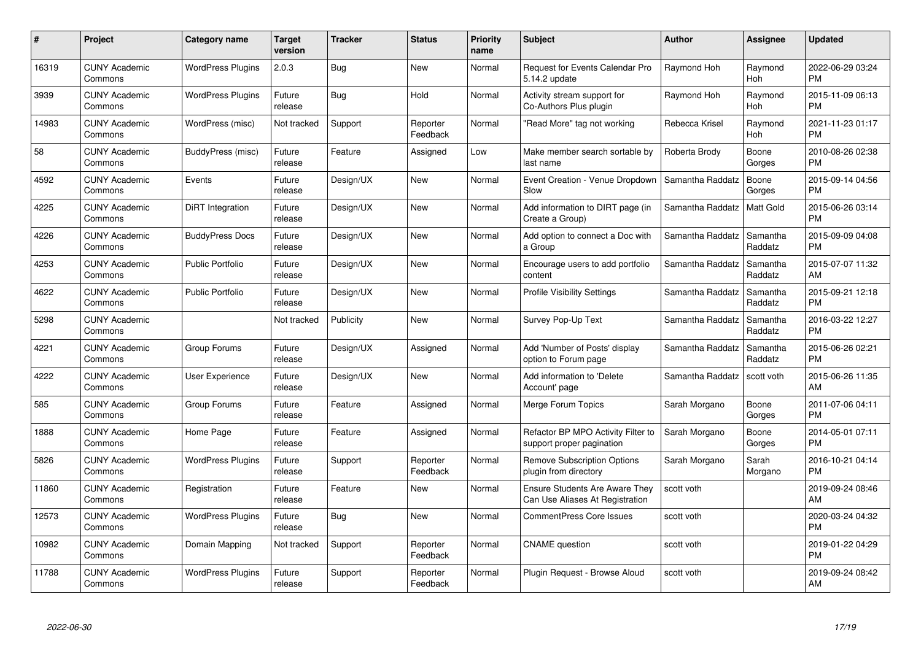| $\#$  | Project                         | <b>Category name</b>     | <b>Target</b><br>version | <b>Tracker</b> | <b>Status</b>        | Priority<br>name | <b>Subject</b>                                                           | <b>Author</b>    | <b>Assignee</b>     | <b>Updated</b>                |
|-------|---------------------------------|--------------------------|--------------------------|----------------|----------------------|------------------|--------------------------------------------------------------------------|------------------|---------------------|-------------------------------|
| 16319 | <b>CUNY Academic</b><br>Commons | <b>WordPress Plugins</b> | 2.0.3                    | Bug            | <b>New</b>           | Normal           | Request for Events Calendar Pro<br>5.14.2 update                         | Raymond Hoh      | Raymond<br>Hoh      | 2022-06-29 03:24<br><b>PM</b> |
| 3939  | <b>CUNY Academic</b><br>Commons | <b>WordPress Plugins</b> | Future<br>release        | Bug            | Hold                 | Normal           | Activity stream support for<br>Co-Authors Plus plugin                    | Raymond Hoh      | Raymond<br>Hoh      | 2015-11-09 06:13<br><b>PM</b> |
| 14983 | <b>CUNY Academic</b><br>Commons | WordPress (misc)         | Not tracked              | Support        | Reporter<br>Feedback | Normal           | "Read More" tag not working                                              | Rebecca Krisel   | Raymond<br>Hoh      | 2021-11-23 01:17<br><b>PM</b> |
| 58    | <b>CUNY Academic</b><br>Commons | BuddyPress (misc)        | Future<br>release        | Feature        | Assigned             | Low              | Make member search sortable by<br>last name                              | Roberta Brody    | Boone<br>Gorges     | 2010-08-26 02:38<br><b>PM</b> |
| 4592  | <b>CUNY Academic</b><br>Commons | Events                   | Future<br>release        | Design/UX      | <b>New</b>           | Normal           | Event Creation - Venue Dropdown<br>Slow                                  | Samantha Raddatz | Boone<br>Gorges     | 2015-09-14 04:56<br><b>PM</b> |
| 4225  | <b>CUNY Academic</b><br>Commons | DiRT Integration         | Future<br>release        | Design/UX      | <b>New</b>           | Normal           | Add information to DIRT page (in<br>Create a Group)                      | Samantha Raddatz | Matt Gold           | 2015-06-26 03:14<br><b>PM</b> |
| 4226  | <b>CUNY Academic</b><br>Commons | <b>BuddyPress Docs</b>   | Future<br>release        | Design/UX      | <b>New</b>           | Normal           | Add option to connect a Doc with<br>a Group                              | Samantha Raddatz | Samantha<br>Raddatz | 2015-09-09 04:08<br><b>PM</b> |
| 4253  | <b>CUNY Academic</b><br>Commons | <b>Public Portfolio</b>  | Future<br>release        | Design/UX      | <b>New</b>           | Normal           | Encourage users to add portfolio<br>content                              | Samantha Raddatz | Samantha<br>Raddatz | 2015-07-07 11:32<br>AM        |
| 4622  | <b>CUNY Academic</b><br>Commons | <b>Public Portfolio</b>  | Future<br>release        | Design/UX      | New                  | Normal           | <b>Profile Visibility Settings</b>                                       | Samantha Raddatz | Samantha<br>Raddatz | 2015-09-21 12:18<br><b>PM</b> |
| 5298  | <b>CUNY Academic</b><br>Commons |                          | Not tracked              | Publicity      | <b>New</b>           | Normal           | Survey Pop-Up Text                                                       | Samantha Raddatz | Samantha<br>Raddatz | 2016-03-22 12:27<br><b>PM</b> |
| 4221  | <b>CUNY Academic</b><br>Commons | Group Forums             | Future<br>release        | Design/UX      | Assigned             | Normal           | Add 'Number of Posts' display<br>option to Forum page                    | Samantha Raddatz | Samantha<br>Raddatz | 2015-06-26 02:21<br><b>PM</b> |
| 4222  | <b>CUNY Academic</b><br>Commons | <b>User Experience</b>   | Future<br>release        | Design/UX      | New                  | Normal           | Add information to 'Delete<br>Account' page                              | Samantha Raddatz | scott voth          | 2015-06-26 11:35<br>AM        |
| 585   | <b>CUNY Academic</b><br>Commons | Group Forums             | Future<br>release        | Feature        | Assigned             | Normal           | Merge Forum Topics                                                       | Sarah Morgano    | Boone<br>Gorges     | 2011-07-06 04:11<br><b>PM</b> |
| 1888  | <b>CUNY Academic</b><br>Commons | Home Page                | Future<br>release        | Feature        | Assigned             | Normal           | Refactor BP MPO Activity Filter to<br>support proper pagination          | Sarah Morgano    | Boone<br>Gorges     | 2014-05-01 07:11<br><b>PM</b> |
| 5826  | <b>CUNY Academic</b><br>Commons | <b>WordPress Plugins</b> | Future<br>release        | Support        | Reporter<br>Feedback | Normal           | <b>Remove Subscription Options</b><br>plugin from directory              | Sarah Morgano    | Sarah<br>Morgano    | 2016-10-21 04:14<br><b>PM</b> |
| 11860 | <b>CUNY Academic</b><br>Commons | Registration             | Future<br>release        | Feature        | New                  | Normal           | <b>Ensure Students Are Aware They</b><br>Can Use Aliases At Registration | scott voth       |                     | 2019-09-24 08:46<br>AM        |
| 12573 | <b>CUNY Academic</b><br>Commons | <b>WordPress Plugins</b> | Future<br>release        | Bug            | New                  | Normal           | <b>CommentPress Core Issues</b>                                          | scott voth       |                     | 2020-03-24 04:32<br><b>PM</b> |
| 10982 | <b>CUNY Academic</b><br>Commons | Domain Mapping           | Not tracked              | Support        | Reporter<br>Feedback | Normal           | <b>CNAME</b> question                                                    | scott voth       |                     | 2019-01-22 04:29<br><b>PM</b> |
| 11788 | <b>CUNY Academic</b><br>Commons | <b>WordPress Plugins</b> | Future<br>release        | Support        | Reporter<br>Feedback | Normal           | Plugin Request - Browse Aloud                                            | scott voth       |                     | 2019-09-24 08:42<br>AM        |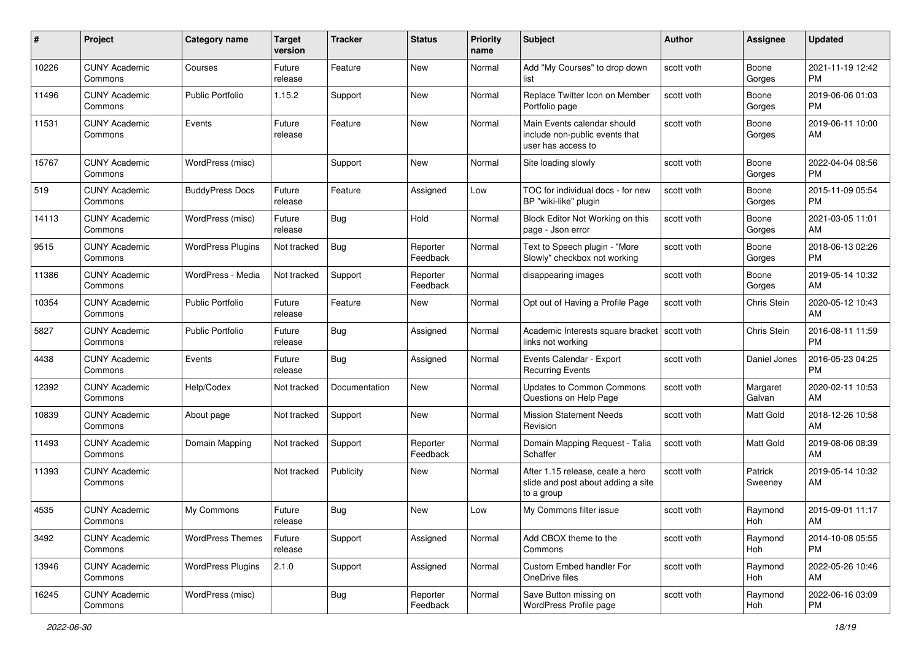| #     | Project                         | <b>Category name</b>     | <b>Target</b><br>version | <b>Tracker</b> | <b>Status</b>        | <b>Priority</b><br>name | Subject                                                                              | Author     | Assignee           | <b>Updated</b>                |
|-------|---------------------------------|--------------------------|--------------------------|----------------|----------------------|-------------------------|--------------------------------------------------------------------------------------|------------|--------------------|-------------------------------|
| 10226 | <b>CUNY Academic</b><br>Commons | Courses                  | Future<br>release        | Feature        | New                  | Normal                  | Add "My Courses" to drop down<br>list                                                | scott voth | Boone<br>Gorges    | 2021-11-19 12:42<br>PM        |
| 11496 | <b>CUNY Academic</b><br>Commons | <b>Public Portfolio</b>  | 1.15.2                   | Support        | New                  | Normal                  | Replace Twitter Icon on Member<br>Portfolio page                                     | scott voth | Boone<br>Gorges    | 2019-06-06 01:03<br><b>PM</b> |
| 11531 | <b>CUNY Academic</b><br>Commons | Events                   | Future<br>release        | Feature        | New                  | Normal                  | Main Events calendar should<br>include non-public events that<br>user has access to  | scott voth | Boone<br>Gorges    | 2019-06-11 10:00<br>AM        |
| 15767 | <b>CUNY Academic</b><br>Commons | WordPress (misc)         |                          | Support        | New                  | Normal                  | Site loading slowly                                                                  | scott voth | Boone<br>Gorges    | 2022-04-04 08:56<br><b>PM</b> |
| 519   | <b>CUNY Academic</b><br>Commons | <b>BuddyPress Docs</b>   | Future<br>release        | Feature        | Assigned             | Low                     | TOC for individual docs - for new<br>BP "wiki-like" plugin                           | scott voth | Boone<br>Gorges    | 2015-11-09 05:54<br><b>PM</b> |
| 14113 | <b>CUNY Academic</b><br>Commons | WordPress (misc)         | Future<br>release        | Bug            | Hold                 | Normal                  | Block Editor Not Working on this<br>page - Json error                                | scott voth | Boone<br>Gorges    | 2021-03-05 11:01<br>AM        |
| 9515  | <b>CUNY Academic</b><br>Commons | <b>WordPress Plugins</b> | Not tracked              | <b>Bug</b>     | Reporter<br>Feedback | Normal                  | Text to Speech plugin - "More<br>Slowly" checkbox not working                        | scott voth | Boone<br>Gorges    | 2018-06-13 02:26<br><b>PM</b> |
| 11386 | <b>CUNY Academic</b><br>Commons | WordPress - Media        | Not tracked              | Support        | Reporter<br>Feedback | Normal                  | disappearing images                                                                  | scott voth | Boone<br>Gorges    | 2019-05-14 10:32<br>AM        |
| 10354 | <b>CUNY Academic</b><br>Commons | Public Portfolio         | Future<br>release        | Feature        | New                  | Normal                  | Opt out of Having a Profile Page                                                     | scott voth | Chris Stein        | 2020-05-12 10:43<br>AM        |
| 5827  | <b>CUNY Academic</b><br>Commons | <b>Public Portfolio</b>  | Future<br>release        | Bug            | Assigned             | Normal                  | Academic Interests square bracket   scott voth<br>links not working                  |            | Chris Stein        | 2016-08-11 11:59<br><b>PM</b> |
| 4438  | <b>CUNY Academic</b><br>Commons | Events                   | Future<br>release        | Bug            | Assigned             | Normal                  | Events Calendar - Export<br><b>Recurring Events</b>                                  | scott voth | Daniel Jones       | 2016-05-23 04:25<br><b>PM</b> |
| 12392 | <b>CUNY Academic</b><br>Commons | Help/Codex               | Not tracked              | Documentation  | New                  | Normal                  | Updates to Common Commons<br>Questions on Help Page                                  | scott voth | Margaret<br>Galvan | 2020-02-11 10:53<br>AM        |
| 10839 | <b>CUNY Academic</b><br>Commons | About page               | Not tracked              | Support        | New                  | Normal                  | <b>Mission Statement Needs</b><br>Revision                                           | scott voth | Matt Gold          | 2018-12-26 10:58<br>AM        |
| 11493 | <b>CUNY Academic</b><br>Commons | Domain Mapping           | Not tracked              | Support        | Reporter<br>Feedback | Normal                  | Domain Mapping Request - Talia<br>Schaffer                                           | scott voth | Matt Gold          | 2019-08-06 08:39<br>AM        |
| 11393 | <b>CUNY Academic</b><br>Commons |                          | Not tracked              | Publicity      | New                  | Normal                  | After 1.15 release, ceate a hero<br>slide and post about adding a site<br>to a group | scott voth | Patrick<br>Sweeney | 2019-05-14 10:32<br>AM        |
| 4535  | <b>CUNY Academic</b><br>Commons | My Commons               | Future<br>release        | <b>Bug</b>     | New                  | Low                     | My Commons filter issue                                                              | scott voth | Raymond<br>Hoh     | 2015-09-01 11:17<br>AM        |
| 3492  | <b>CUNY Academic</b><br>Commons | <b>WordPress Themes</b>  | Future<br>release        | Support        | Assigned             | Normal                  | Add CBOX theme to the<br>Commons                                                     | scott voth | Raymond<br>Hoh     | 2014-10-08 05:55<br><b>PM</b> |
| 13946 | <b>CUNY Academic</b><br>Commons | <b>WordPress Plugins</b> | 2.1.0                    | Support        | Assigned             | Normal                  | Custom Embed handler For<br>OneDrive files                                           | scott voth | Raymond<br>Hoh     | 2022-05-26 10:46<br>AM        |
| 16245 | <b>CUNY Academic</b><br>Commons | WordPress (misc)         |                          | <b>Bug</b>     | Reporter<br>Feedback | Normal                  | Save Button missing on<br>WordPress Profile page                                     | scott voth | Raymond<br>Hoh     | 2022-06-16 03:09<br><b>PM</b> |